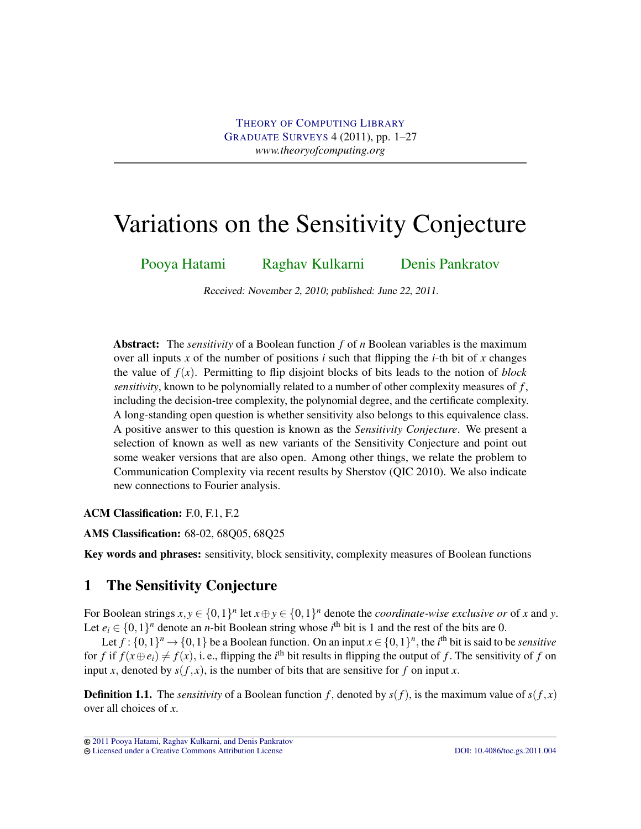# Variations on the Sensitivity Conjecture

[Pooya Hatami](#page-25-0) [Raghav Kulkarni](#page-25-1) [Denis Pankratov](#page-25-2)

Received: November 2, 2010; published: June 22, 2011.

Abstract: The *sensitivity* of a Boolean function *f* of *n* Boolean variables is the maximum over all inputs x of the number of positions  $i$  such that flipping the  $i$ -th bit of x changes the value of  $f(x)$ . Permitting to flip disjoint blocks of bits leads to the notion of *block sensitivity*, known to be polynomially related to a number of other complexity measures of *f* , including the decision-tree complexity, the polynomial degree, and the certificate complexity. A long-standing open question is whether sensitivity also belongs to this equivalence class. A positive answer to this question is known as the *Sensitivity Conjecture*. We present a selection of known as well as new variants of the Sensitivity Conjecture and point out some weaker versions that are also open. Among other things, we relate the problem to Communication Complexity via recent results by Sherstov (QIC 2010). We also indicate new connections to Fourier analysis.

ACM Classification: F.0, F.1, F.2

AMS Classification: 68-02, 68Q05, 68Q25

Key words and phrases: sensitivity, block sensitivity, complexity measures of Boolean functions

# 1 The Sensitivity Conjecture

For Boolean strings  $x, y \in \{0, 1\}^n$  let  $x \oplus y \in \{0, 1\}^n$  denote the *coordinate-wise exclusive or* of *x* and *y*. Let  $e_i \in \{0,1\}^n$  denote an *n*-bit Boolean string whose *i*<sup>th</sup> bit is 1 and the rest of the bits are 0.

Let  $f: \{0,1\}^n \to \{0,1\}$  be a Boolean function. On an input  $x \in \{0,1\}^n$ , the *i*<sup>th</sup> bit is said to be *sensitive* for *f* if  $f(x \oplus e_i) \neq f(x)$ , i. e., flipping the *i*<sup>th</sup> bit results in flipping the output of *f*. The sensitivity of *f* on input *x*, denoted by  $s(f, x)$ , is the number of bits that are sensitive for *f* on input *x*.

**Definition 1.1.** The *sensitivity* of a Boolean function f, denoted by  $s(f)$ , is the maximum value of  $s(f, x)$ over all choices of *x*.

[<sup>2011</sup> Pooya Hatami, Raghav Kulkarni, and Denis Pankratov](http://theoryofcomputing.org/copyright2009.html) [Licensed under a Creative Commons Attribution License](http://creativecommons.org/licenses/by/3.0/) [DOI: 10.4086/toc.gs.2011.004](http://dx.doi.org/10.4086/toc.gs.2011.004)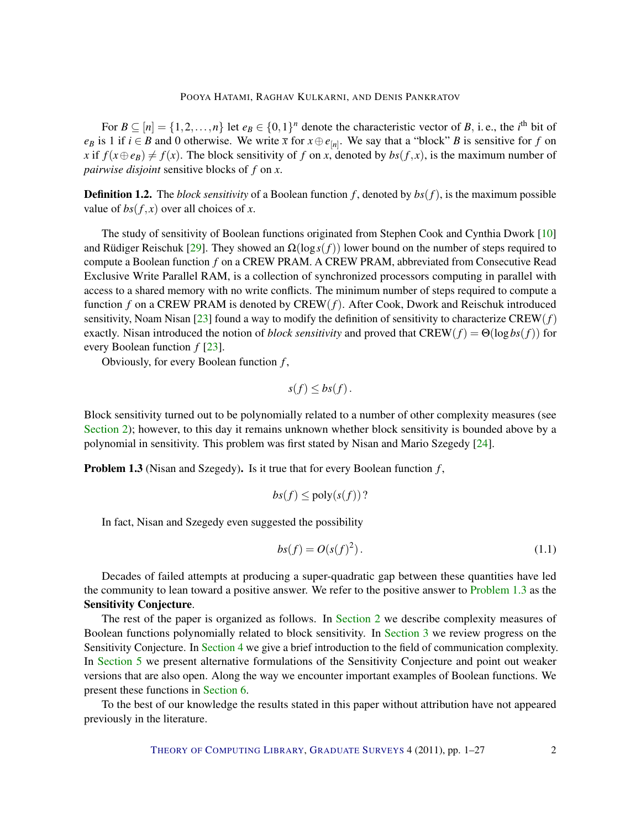<span id="page-1-2"></span>For  $B \subseteq [n] = \{1, 2, ..., n\}$  let  $e_B \in \{0, 1\}^n$  denote the characteristic vector of B, i.e., the *i*<sup>th</sup> bit of *e*<sup>*B*</sup> is 1 if *i* ∈ *B* and 0 otherwise. We write  $\bar{x}$  for  $x \oplus e_{[n]}$ . We say that a "block" *B* is sensitive for *f* on *x* if  $f(x \oplus e_B) \neq f(x)$ . The block sensitivity of *f* on *x*, denoted by  $bs(f, x)$ , is the maximum number of *pairwise disjoint* sensitive blocks of *f* on *x*.

**Definition 1.2.** The *block sensitivity* of a Boolean function  $f$ , denoted by  $bs(f)$ , is the maximum possible value of  $bs(f, x)$  over all choices of *x*.

The study of sensitivity of Boolean functions originated from Stephen Cook and Cynthia Dwork [\[10\]](#page-23-0) and Rüdiger Reischuk [[29\]](#page-24-0). They showed an  $\Omega(\log s(f))$  lower bound on the number of steps required to compute a Boolean function *f* on a CREW PRAM. A CREW PRAM, abbreviated from Consecutive Read Exclusive Write Parallel RAM, is a collection of synchronized processors computing in parallel with access to a shared memory with no write conflicts. The minimum number of steps required to compute a function *f* on a CREW PRAM is denoted by CREW(*f*). After Cook, Dwork and Reischuk introduced sensitivity, Noam Nisan [\[23\]](#page-24-1) found a way to modify the definition of sensitivity to characterize CREW(*f*) exactly. Nisan introduced the notion of *block sensitivity* and proved that  $CREW(f) = \Theta(\log bs(f))$  for every Boolean function *f* [\[23\]](#page-24-1).

Obviously, for every Boolean function *f* ,

$$
s(f) \leq bs(f).
$$

Block sensitivity turned out to be polynomially related to a number of other complexity measures (see [Section](#page-2-0) [2\)](#page-2-0); however, to this day it remains unknown whether block sensitivity is bounded above by a polynomial in sensitivity. This problem was first stated by Nisan and Mario Szegedy [\[24\]](#page-24-2).

<span id="page-1-0"></span>Problem 1.3 (Nisan and Szegedy). Is it true that for every Boolean function *f* ,

$$
bs(f) \leq \text{poly}(s(f))?
$$

In fact, Nisan and Szegedy even suggested the possibility

<span id="page-1-1"></span>
$$
bs(f) = O(s(f)^2). \tag{1.1}
$$

Decades of failed attempts at producing a super-quadratic gap between these quantities have led the community to lean toward a positive answer. We refer to the positive answer to [Problem](#page-1-0) [1.3](#page-1-0) as the Sensitivity Conjecture.

The rest of the paper is organized as follows. In [Section](#page-2-0) [2](#page-2-0) we describe complexity measures of Boolean functions polynomially related to block sensitivity. In [Section](#page-4-0) [3](#page-4-0) we review progress on the Sensitivity Conjecture. In [Section](#page-6-0) [4](#page-6-0) we give a brief introduction to the field of communication complexity. In [Section](#page-9-0) [5](#page-9-0) we present alternative formulations of the Sensitivity Conjecture and point out weaker versions that are also open. Along the way we encounter important examples of Boolean functions. We present these functions in [Section](#page-18-0) [6.](#page-18-0)

To the best of our knowledge the results stated in this paper without attribution have not appeared previously in the literature.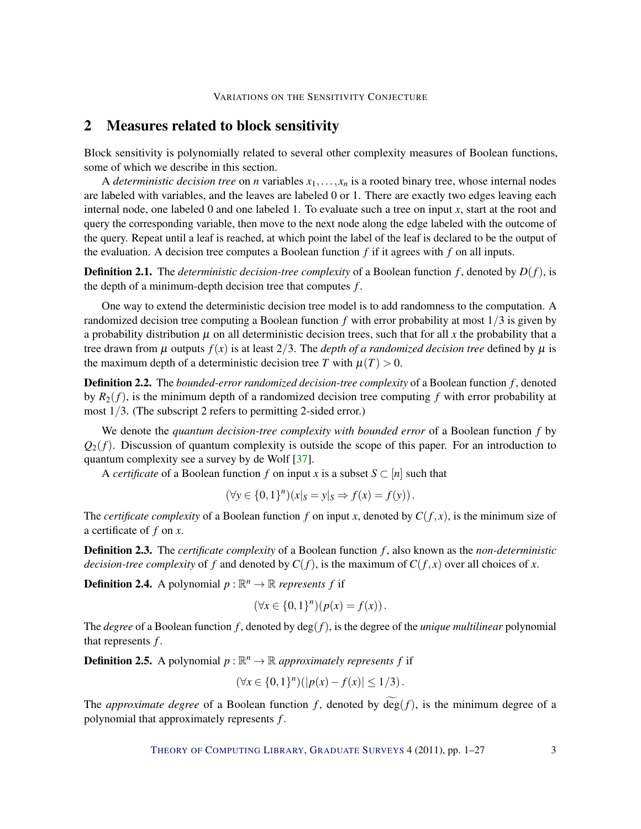# <span id="page-2-2"></span><span id="page-2-0"></span>2 Measures related to block sensitivity

Block sensitivity is polynomially related to several other complexity measures of Boolean functions, some of which we describe in this section.

A *deterministic decision tree* on *n* variables  $x_1, \ldots, x_n$  is a rooted binary tree, whose internal nodes are labeled with variables, and the leaves are labeled 0 or 1. There are exactly two edges leaving each internal node, one labeled 0 and one labeled 1. To evaluate such a tree on input *x*, start at the root and query the corresponding variable, then move to the next node along the edge labeled with the outcome of the query. Repeat until a leaf is reached, at which point the label of the leaf is declared to be the output of the evaluation. A decision tree computes a Boolean function  $f$  if it agrees with  $f$  on all inputs.

**Definition 2.1.** The *deterministic decision-tree complexity* of a Boolean function  $f$ , denoted by  $D(f)$ , is the depth of a minimum-depth decision tree that computes *f* .

One way to extend the deterministic decision tree model is to add randomness to the computation. A randomized decision tree computing a Boolean function *f* with error probability at most 1/3 is given by a probability distribution  $\mu$  on all deterministic decision trees, such that for all x the probability that a tree drawn from  $\mu$  outputs  $f(x)$  is at least 2/3. The *depth of a randomized decision tree* defined by  $\mu$  is the maximum depth of a deterministic decision tree *T* with  $\mu(T) > 0$ .

Definition 2.2. The *bounded-error randomized decision-tree complexity* of a Boolean function *f* , denoted by  $R_2(f)$ , is the minimum depth of a randomized decision tree computing f with error probability at most 1/3. (The subscript 2 refers to permitting 2-sided error.)

We denote the *quantum decision-tree complexity with bounded error* of a Boolean function *f* by  $Q_2(f)$ . Discussion of quantum complexity is outside the scope of this paper. For an introduction to quantum complexity see a survey by de Wolf [\[37\]](#page-25-3).

A *certificate* of a Boolean function *f* on input *x* is a subset  $S \subset [n]$  such that

$$
(\forall y \in \{0,1\}^n)(x|_{S} = y|_{S} \Rightarrow f(x) = f(y)).
$$

The *certificate complexity* of a Boolean function  $f$  on input  $x$ , denoted by  $C(f, x)$ , is the minimum size of a certificate of *f* on *x*.

Definition 2.3. The *certificate complexity* of a Boolean function *f* , also known as the *non-deterministic decision-tree complexity* of *f* and denoted by  $C(f)$ , is the maximum of  $C(f, x)$  over all choices of *x*.

<span id="page-2-1"></span>**Definition 2.4.** A polynomial  $p : \mathbb{R}^n \to \mathbb{R}$  *represents* f if

$$
(\forall x \in \{0,1\}^n)(p(x) = f(x)).
$$

The *degree* of a Boolean function *f* , denoted by deg(*f*), is the degree of the *unique multilinear* polynomial that represents *f*.

**Definition 2.5.** A polynomial  $p : \mathbb{R}^n \to \mathbb{R}$  approximately represents f if

$$
(\forall x \in \{0,1\}^n) (|p(x) - f(x)| \le 1/3).
$$

The *approximate degree* of a Boolean function f, denoted by  $\widetilde{\deg}(f)$ , is the minimum degree of a polynomial that approximately represents *f*.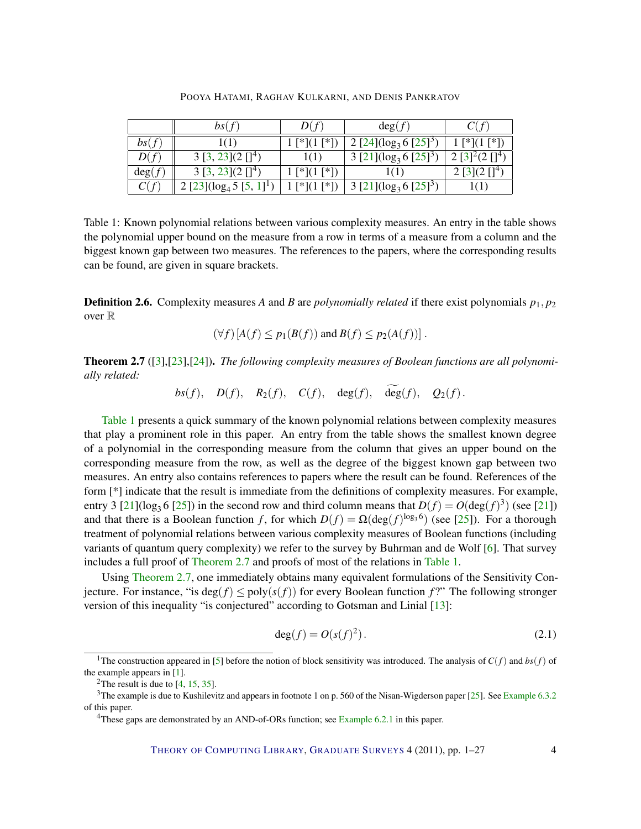<span id="page-3-3"></span>

|        | bs(f)                                              | D(f)           | deg(f)                                 |                        |
|--------|----------------------------------------------------|----------------|----------------------------------------|------------------------|
| bs(f)  | 1(1)                                               | $1$ [*](1 [*]) | 2 [24]( $\log_3 6$ [25] <sup>3</sup> ) | $1$ [*](1 [*])         |
| D(f)   | $3 [3, 23](2 [1]^4)$                               | 1(1)           | 3 [21]( $\log_3 6$ [25] <sup>3</sup>   | $2 [3]^{2}(2 [1]^{4})$ |
| deg(f) | $3 [3, 23](2 [1]^4)$                               | $1$ [*](1 [*]) | 1(1)                                   | $2 [3](2 [1]^4)$       |
|        | $2 [23]$ (log <sub>4</sub> 5 [5, 1] <sup>1</sup> ) | $1$ [*](1 [*]) | 3 [21]( $\log_3 6$ [25] <sup>3</sup> ) |                        |

POOYA HATAMI, RAGHAV KULKARNI, AND DENIS PANKRATOV

<span id="page-3-0"></span>Table 1: Known polynomial relations between various complexity measures. An entry in the table shows the polynomial upper bound on the measure from a row in terms of a measure from a column and the biggest known gap between two measures. The references to the papers, where the corresponding results can be found, are given in square brackets.

**Definition 2.6.** Complexity measures A and B are *polynomially related* if there exist polynomials  $p_1, p_2$ over R

$$
(\forall f) [A(f) \le p_1(B(f)) \text{ and } B(f) \le p_2(A(f))].
$$

<span id="page-3-1"></span>Theorem 2.7 ([\[3\]](#page-22-0),[\[23\]](#page-24-1),[\[24\]](#page-24-2)). *The following complexity measures of Boolean functions are all polynomially related:*

 $bs(f)$ ,  $D(f)$ ,  $R_2(f)$ ,  $C(f)$ ,  $\deg(f)$ ,  $\widetilde{\deg}(f)$ ,  $Q_2(f)$ .

[Table](#page-3-0) [1](#page-3-0) presents a quick summary of the known polynomial relations between complexity measures that play a prominent role in this paper. An entry from the table shows the smallest known degree of a polynomial in the corresponding measure from the column that gives an upper bound on the corresponding measure from the row, as well as the degree of the biggest known gap between two measures. An entry also contains references to papers where the result can be found. References of the form [\*] indicate that the result is immediate from the definitions of complexity measures. For example, entry 3 [\[21\]](#page-24-4)( $\log_3 6$  [\[25\]](#page-24-3)) in the second row and third column means that  $D(f) = O(\deg(f)^3)$  (see [21]) and that there is a Boolean function *f*, for which  $D(f) = \Omega(\deg(f)^{\log_3 6})$  (see [\[25\]](#page-24-3)). For a thorough treatment of polynomial relations between various complexity measures of Boolean functions (including variants of quantum query complexity) we refer to the survey by Buhrman and de Wolf [\[6\]](#page-23-1). That survey includes a full proof of [Theorem](#page-3-1) [2.7](#page-3-1) and proofs of most of the relations in [Table](#page-3-0) [1.](#page-3-0)

Using [Theorem](#page-3-1) [2.7,](#page-3-1) one immediately obtains many equivalent formulations of the Sensitivity Conjecture. For instance, "is deg( $f$ )  $\leq$  poly( $s(f)$ ) for every Boolean function  $f$ ?" The following stronger version of this inequality "is conjectured" according to Gotsman and Linial [\[13\]](#page-23-2):

<span id="page-3-2"></span>
$$
\deg(f) = O(s(f)^2). \tag{2.1}
$$

<sup>&</sup>lt;sup>1</sup>The construction appeared in [\[5\]](#page-22-1) before the notion of block sensitivity was introduced. The analysis of  $C(f)$  and  $bs(f)$  of the example appears in [\[1\]](#page-22-2).

<sup>&</sup>lt;sup>2</sup>The result is due to  $[4, 15, 35]$  $[4, 15, 35]$  $[4, 15, 35]$  $[4, 15, 35]$  $[4, 15, 35]$ .

<sup>3</sup>The example is due to Kushilevitz and appears in footnote 1 on p. 560 of the Nisan-Wigderson paper [\[25\]](#page-24-3). See [Example](#page-20-0) [6.3.2](#page-20-0) of this paper.

<sup>&</sup>lt;sup>4</sup>These gaps are demonstrated by an AND-of-ORs function; see [Example](#page-19-0) [6.2.1](#page-19-0) in this paper.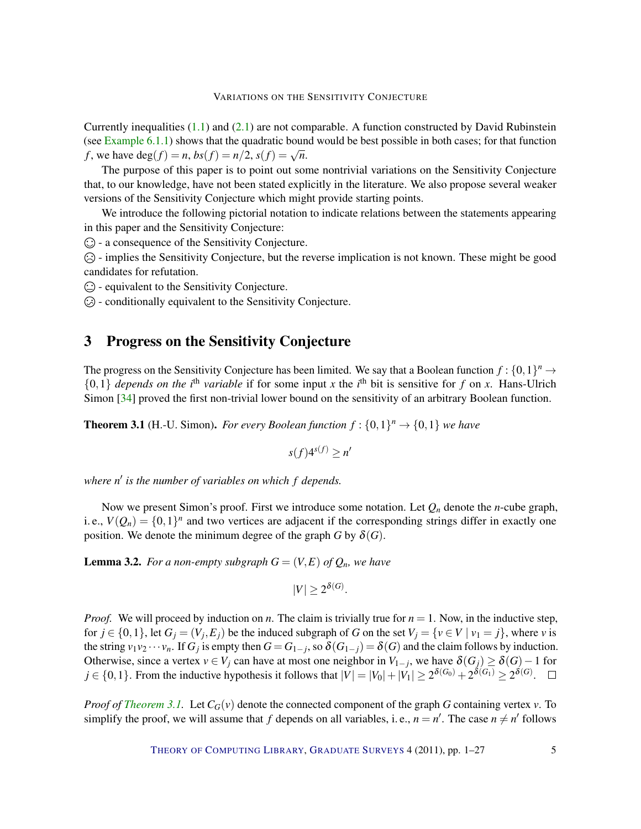<span id="page-4-3"></span>Currently inequalities  $(1.1)$  and  $(2.1)$  are not comparable. A function constructed by David Rubinstein (see [Example](#page-18-1) [6.1.1\)](#page-18-1) shows that the quadratic bound would be best possible in both cases; for that function *f*, we have deg(*f*) = *n*, *bs*(*f*) = *n*/2, *s*(*f*) =  $\sqrt{n}$ .

The purpose of this paper is to point out some nontrivial variations on the Sensitivity Conjecture that, to our knowledge, have not been stated explicitly in the literature. We also propose several weaker versions of the Sensitivity Conjecture which might provide starting points.

We introduce the following pictorial notation to indicate relations between the statements appearing in this paper and the Sensitivity Conjecture:

 $\odot$  - a consequence of the Sensitivity Conjecture.

- implies the Sensitivity Conjecture, but the reverse implication is not known. These might be good candidates for refutation.

 $\odot$  - equivalent to the Sensitivity Conjecture.

 $\odot$  - conditionally equivalent to the Sensitivity Conjecture.

# <span id="page-4-0"></span>3 Progress on the Sensitivity Conjecture

The progress on the Sensitivity Conjecture has been limited. We say that a Boolean function  $f: \{0,1\}^n \to$  $\{0,1\}$  *depends on the i*<sup>th</sup> *variable* if for some input *x* the *i*<sup>th</sup> bit is sensitive for *f* on *x*. Hans-Ulrich Simon [\[34\]](#page-24-5) proved the first non-trivial lower bound on the sensitivity of an arbitrary Boolean function.

<span id="page-4-1"></span>**Theorem 3.1** (H.-U. Simon). *For every Boolean function*  $f: \{0,1\}^n \rightarrow \{0,1\}$  *we have* 

$$
s(f)4^{s(f)} \ge n'
$$

where n' is the number of variables on which f depends.

Now we present Simon's proof. First we introduce some notation. Let *Q<sup>n</sup>* denote the *n*-cube graph, i. e.,  $V(Q_n) = \{0,1\}^n$  and two vertices are adjacent if the corresponding strings differ in exactly one position. We denote the minimum degree of the graph *G* by  $\delta(G)$ .

<span id="page-4-2"></span>**Lemma 3.2.** For a non-empty subgraph  $G = (V, E)$  of  $Q_n$ , we have

$$
|V| \ge 2^{\delta(G)}.
$$

*Proof.* We will proceed by induction on *n*. The claim is trivially true for  $n = 1$ . Now, in the inductive step, for  $j \in \{0,1\}$ , let  $G_j = (V_j, E_j)$  be the induced subgraph of *G* on the set  $V_j = \{v \in V \mid v_1 = j\}$ , where *v* is the string  $v_1v_2\cdots v_n$ . If  $G_j$  is empty then  $G = G_{1-j}$ , so  $\delta(G_{1-j}) = \delta(G)$  and the claim follows by induction. Otherwise, since a vertex  $v \in V_j$  can have at most one neighbor in  $V_{1-j}$ , we have  $\delta(G_j) \geq \delta(G) - 1$  for  $j \in \{0, 1\}$ . From the inductive hypothesis it follows that  $|V| = |V_0| + |V_1| \ge 2^{\delta(G_0)} + 2^{\delta(G_1)} \ge 2^{\delta(G)}$ .

*Proof of [Theorem](#page-4-1) [3.1.](#page-4-1)* Let  $C_G(v)$  denote the connected component of the graph *G* containing vertex *v*. To simplify the proof, we will assume that *f* depends on all variables, i. e.,  $n = n'$ . The case  $n \neq n'$  follows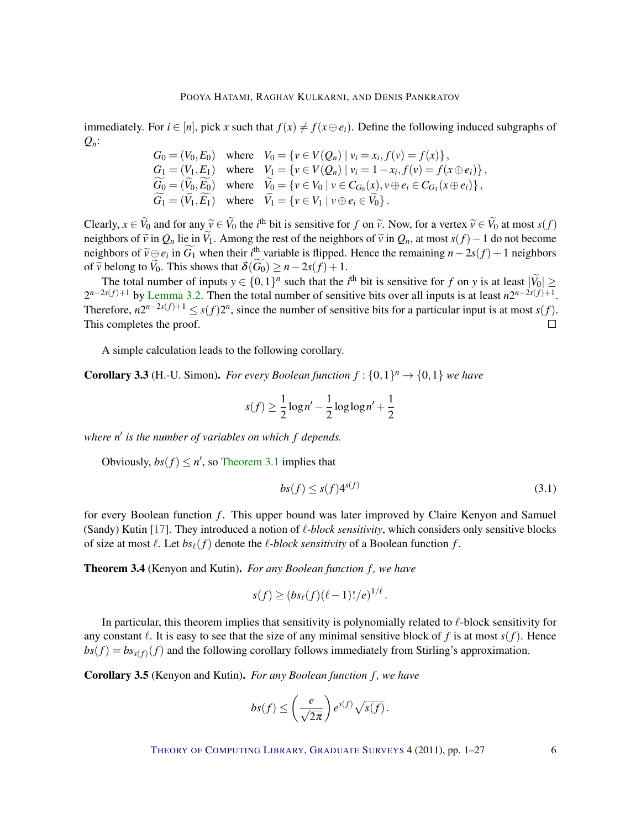<span id="page-5-0"></span>immediately. For  $i \in [n]$ , pick *x* such that  $f(x) \neq f(x \oplus e_i)$ . Define the following induced subgraphs of *Qn*:

$$
G_0 = (V_0, E_0) \text{ where } V_0 = \{v \in V(Q_n) \mid v_i = x_i, f(v) = f(x)\},
$$
  
\n
$$
G_1 = (V_1, E_1) \text{ where } V_1 = \{v \in V(Q_n) \mid v_i = 1 - x_i, f(v) = f(x \oplus e_i)\},
$$
  
\n
$$
\widetilde{G_0} = (\widetilde{V_0}, \widetilde{E_0}) \text{ where } \widetilde{V_0} = \{v \in V_0 \mid v \in C_{G_0}(x), v \oplus e_i \in C_{G_1}(x \oplus e_i)\},
$$
  
\n
$$
\widetilde{G_1} = (\widetilde{V_1}, \widetilde{E_1}) \text{ where } \widetilde{V_1} = \{v \in V_1 \mid v \oplus e_i \in \widetilde{V_0}\}.
$$

Clearly,  $x \in V_0$  and for any  $\tilde{v} \in V_0$  the *i*<sup>th</sup> bit is sensitive for *f* on  $\tilde{v}$ . Now, for a vertex  $\tilde{v} \in V_0$  at most  $s(f)$ <br>noighbors of  $\tilde{v}$  in *Q*, lie in  $\tilde{v}$ . Among the rost of the neighbors of neighbors of  $\tilde{v}$  in  $Q_n$  lie in  $\tilde{V}_1$ . Among the rest of the neighbors of  $\tilde{v}$  in  $Q_n$ , at most  $s(f) - 1$  do not become neighbors of  $\tilde{v} \oplus e_i$  in  $\tilde{G}_1$  when their *i*<sup>th</sup> variable is flipped. Hence the remaining  $n - 2s(f) + 1$  neighbors of  $\tilde{v}$  belong to  $\tilde{V}_1$ . This shows that  $\tilde{s}(\tilde{G}_1) \ge n - 2s(f) + 1$ of  $\widetilde{v}$  belong to  $\widetilde{V}_0$ . This shows that  $\delta(\widetilde{G}_0) \geq n - 2s(f) + 1$ .

The total number of inputs  $y \in \{0,1\}^n$  such that the *i*<sup>th</sup> bit is sensitive for *f* on *y* is at least  $|\tilde{V}_0| \ge$  $2^{n-2s(f)+1}$  by [Lemma](#page-4-2) [3.2.](#page-4-2) Then the total number of sensitive bits over all inputs is at least  $n2^{n-2s(f)+1}$ . Therefore,  $n2^{n-2s(f)+1} \leq s(f)2^n$ , since the number of sensitive bits for a particular input is at most  $s(f)$ . This completes the proof.  $\Box$ 

A simple calculation leads to the following corollary.

**Corollary 3.3** (H.-U. Simon). *For every Boolean function*  $f: \{0,1\}^n \rightarrow \{0,1\}$  *we have* 

$$
s(f) \ge \frac{1}{2}\log n' - \frac{1}{2}\log\log n' + \frac{1}{2}
$$

where n' is the number of variables on which f depends.

Obviously,  $bs(f) \leq n'$ , so [Theorem](#page-4-1) [3.1](#page-4-1) implies that

$$
bs(f) \le s(f)4^{s(f)} \tag{3.1}
$$

for every Boolean function *f* . This upper bound was later improved by Claire Kenyon and Samuel (Sandy) Kutin [\[17\]](#page-23-4). They introduced a notion of  $\ell$ -block sensitivity, which considers only sensitive blocks of size at most  $\ell$ . Let  $bs_{\ell}(f)$  denote the  $\ell$ -*block sensitivity* of a Boolean function  $f$ .

Theorem 3.4 (Kenyon and Kutin). *For any Boolean function f, we have* 

$$
s(f) \geq (bs_{\ell}(f)(\ell-1)!/e)^{1/\ell}.
$$

In particular, this theorem implies that sensitivity is polynomially related to  $\ell$ -block sensitivity for any constant  $\ell$ . It is easy to see that the size of any minimal sensitive block of *f* is at most  $s(f)$ . Hence  $bs(f) = bs_{s(f)}(f)$  and the following corollary follows immediately from Stirling's approximation.

Corollary 3.5 (Kenyon and Kutin). *For any Boolean function f, we have* 

$$
bs(f) \le \left(\frac{e}{\sqrt{2\pi}}\right) e^{s(f)} \sqrt{s(f)}.
$$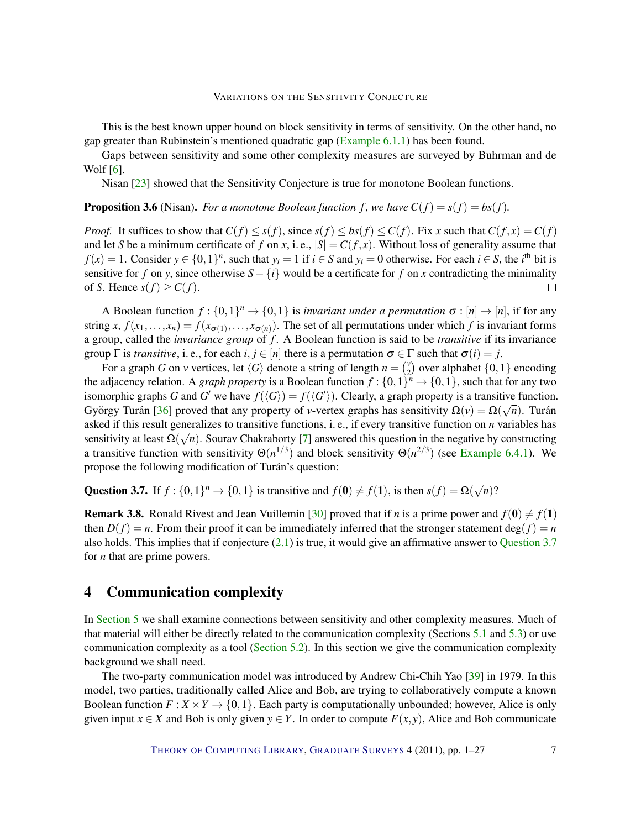<span id="page-6-2"></span>This is the best known upper bound on block sensitivity in terms of sensitivity. On the other hand, no gap greater than Rubinstein's mentioned quadratic gap [\(Example](#page-18-1) [6.1.1\)](#page-18-1) has been found.

Gaps between sensitivity and some other complexity measures are surveyed by Buhrman and de Wolf [\[6\]](#page-23-1).

Nisan [\[23\]](#page-24-1) showed that the Sensitivity Conjecture is true for monotone Boolean functions.

**Proposition 3.6** (Nisan). *For a monotone Boolean function f, we have*  $C(f) = s(f) = bs(f)$ *.* 

*Proof.* It suffices to show that  $C(f) \leq s(f)$ , since  $s(f) \leq bs(f) \leq C(f)$ . Fix *x* such that  $C(f, x) = C(f)$ and let *S* be a minimum certificate of *f* on *x*, i.e.,  $|S| = C(f, x)$ . Without loss of generality assume that *f*(*x*) = 1. Consider *y* ∈ {0,1}<sup>*n*</sup>, such that *y*<sup>*i*</sup> = 1 if *i* ∈ *S* and *y*<sup>*i*</sup> = 0 otherwise. For each *i* ∈ *S*, the *i*<sup>th</sup> bit is sensitive for *f* on *y*, since otherwise  $S - \{i\}$  would be a certificate for *f* on *x* contradicting the minimality of *S*. Hence  $s(f) \ge C(f)$ .  $\Box$ 

A Boolean function  $f: \{0,1\}^n \to \{0,1\}$  is *invariant under a permutation*  $\sigma : [n] \to [n]$ , if for any string *x*,  $f(x_1,...,x_n) = f(x_{\sigma(1)},...,x_{\sigma(n)})$ . The set of all permutations under which *f* is invariant forms a group, called the *invariance group* of *f* . A Boolean function is said to be *transitive* if its invariance group  $\Gamma$  is *transitive*, i.e., for each *i*,  $j \in [n]$  there is a permutation  $\sigma \in \Gamma$  such that  $\sigma(i) = j$ .

For a graph *G* on *v* vertices, let  $\langle G \rangle$  denote a string of length  $n = \binom{v}{2}$  $_{2}^{\nu}$ ) over alphabet  $\{0,1\}$  encoding the adjacency relation. A *graph property* is a Boolean function  $f: \{0,1\}^n \to \{0,1\}$ , such that for any two isomorphic graphs *G* and *G'* we have  $f(\langle G \rangle) = f(\langle G' \rangle)$ . Clearly, a graph property is a transitive function. György Turán [[36\]](#page-25-5) proved that any property of *v*-vertex graphs has sensitivity  $\Omega(v) = \Omega(\sqrt{n})$ . Turán asked if this result generalizes to transitive functions, i. e., if every transitive function on *n* variables has sensitivity at least Ω( √ *n*). Sourav Chakraborty [\[7\]](#page-23-5) answered this question in the negative by constructing a transitive function with sensitivity  $\Theta(n^{1/3})$  and block sensitivity  $\Theta(n^{2/3})$  (see [Example](#page-22-4) [6.4.1\)](#page-22-4). We propose the following modification of Turán's question:

<span id="page-6-1"></span>Question 3.7. If  $f : \{0,1\}^n \to \{0,1\}$  is transitive and  $f(\mathbf{0}) \neq f(\mathbf{1})$ , is then  $s(f) = \Omega(\sqrt{n})$ ?

**Remark 3.8.** Ronald Rivest and Jean Vuillemin [\[30\]](#page-24-6) proved that if *n* is a prime power and  $f(\mathbf{0}) \neq f(\mathbf{1})$ then  $D(f) = n$ . From their proof it can be immediately inferred that the stronger statement deg( $f$ ) = *n* also holds. This implies that if conjecture [\(2.1\)](#page-3-2) is true, it would give an affirmative answer to [Question](#page-6-1) [3.7](#page-6-1) for *n* that are prime powers.

# <span id="page-6-0"></span>4 Communication complexity

In [Section](#page-9-0) [5](#page-9-0) we shall examine connections between sensitivity and other complexity measures. Much of that material will either be directly related to the communication complexity (Sections [5.1](#page-9-1) and [5.3\)](#page-11-0) or use communication complexity as a tool [\(Section](#page-10-0) [5.2\)](#page-10-0). In this section we give the communication complexity background we shall need.

The two-party communication model was introduced by Andrew Chi-Chih Yao [\[39\]](#page-25-6) in 1979. In this model, two parties, traditionally called Alice and Bob, are trying to collaboratively compute a known Boolean function  $F: X \times Y \to \{0,1\}$ . Each party is computationally unbounded; however, Alice is only given input  $x \in X$  and Bob is only given  $y \in Y$ . In order to compute  $F(x, y)$ , Alice and Bob communicate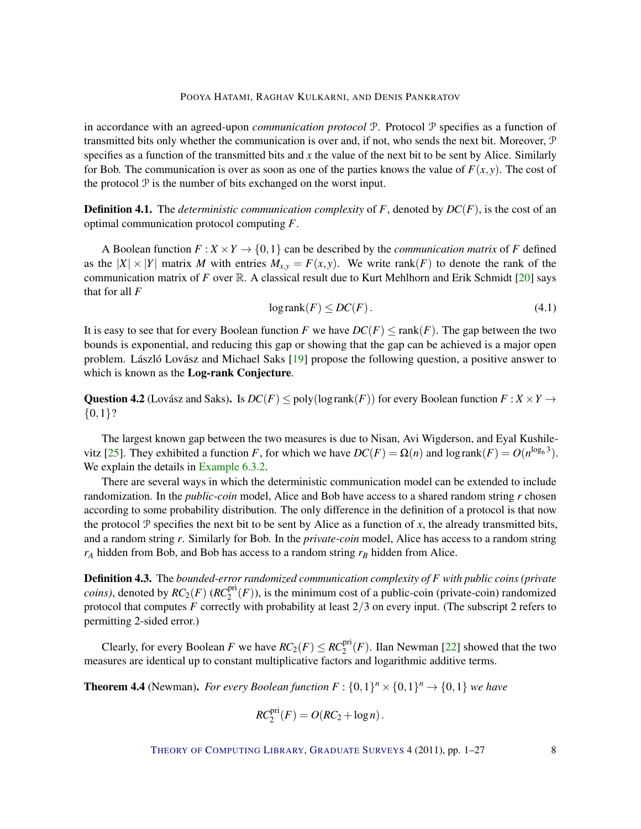<span id="page-7-1"></span>in accordance with an agreed-upon *communication protocol* P. Protocol P specifies as a function of transmitted bits only whether the communication is over and, if not, who sends the next bit. Moreover, P specifies as a function of the transmitted bits and *x* the value of the next bit to be sent by Alice. Similarly for Bob. The communication is over as soon as one of the parties knows the value of  $F(x, y)$ . The cost of the protocol  $P$  is the number of bits exchanged on the worst input.

Definition 4.1. The *deterministic communication complexity* of *F*, denoted by *DC*(*F*), is the cost of an optimal communication protocol computing *F*.

A Boolean function  $F: X \times Y \to \{0,1\}$  can be described by the *communication matrix* of F defined as the  $|X| \times |Y|$  matrix *M* with entries  $M_{x,y} = F(x, y)$ . We write rank(*F*) to denote the rank of the communication matrix of *F* over  $\mathbb{R}$ . A classical result due to Kurt Mehlhorn and Erik Schmidt [\[20\]](#page-24-7) says that for all *F*

<span id="page-7-0"></span>
$$
logrank(F) \le DC(F). \tag{4.1}
$$

It is easy to see that for every Boolean function *F* we have  $DC(F) \leq \text{rank}(F)$ . The gap between the two bounds is exponential, and reducing this gap or showing that the gap can be achieved is a major open problem. László Lovász and Michael Saks  $[19]$  $[19]$  propose the following question, a positive answer to which is known as the Log-rank Conjecture.

Question 4.2 (Lovász and Saks). Is  $DC(F) \leq poly(logrank(F))$  for every Boolean function  $F: X \times Y \rightarrow$  ${0,1}$ ?

The largest known gap between the two measures is due to Nisan, Avi Wigderson, and Eyal Kushile-vitz [\[25\]](#page-24-3). They exhibited a function *F*, for which we have  $DC(F) = \Omega(n)$  and  $\log \text{rank}(F) = O(n^{\log_6 3})$ . We explain the details in [Example](#page-20-0) [6.3.2.](#page-20-0)

There are several ways in which the deterministic communication model can be extended to include randomization. In the *public-coin* model, Alice and Bob have access to a shared random string *r* chosen according to some probability distribution. The only difference in the definition of a protocol is that now the protocol P specifies the next bit to be sent by Alice as a function of x, the already transmitted bits, and a random string *r*. Similarly for Bob. In the *private-coin* model, Alice has access to a random string *r<sup>A</sup>* hidden from Bob, and Bob has access to a random string *r<sup>B</sup>* hidden from Alice.

Definition 4.3. The *bounded-error randomized communication complexity of F with public coins (private coins*), denoted by  $RC_2(F)$  ( $RC_2^{\text{pri}}(F)$ ), is the minimum cost of a public-coin (private-coin) randomized protocol that computes *F* correctly with probability at least 2/3 on every input. (The subscript 2 refers to permitting 2-sided error.)

Clearly, for every Boolean *F* we have  $RC_2(F) \leq RC_2^{\text{pri}}(F)$ . Ilan Newman [\[22\]](#page-24-8) showed that the two measures are identical up to constant multiplicative factors and logarithmic additive terms.

**Theorem 4.4** (Newman). For every Boolean function  $F: \{0,1\}^n \times \{0,1\}^n \rightarrow \{0,1\}$  we have

$$
RC_2^{\text{pri}}(F) = O(RC_2 + \log n).
$$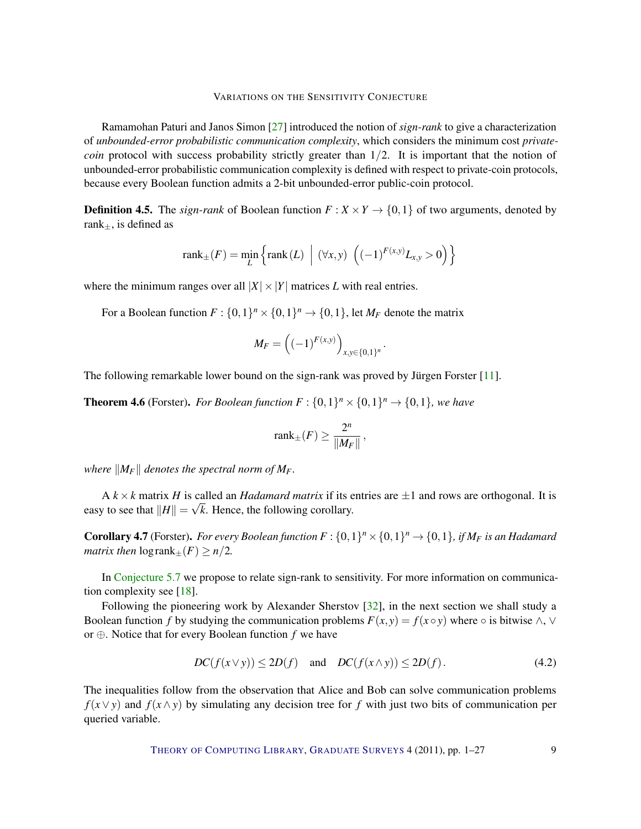<span id="page-8-2"></span>Ramamohan Paturi and Janos Simon [\[27\]](#page-24-9) introduced the notion of *sign-rank* to give a characterization of *unbounded-error probabilistic communication complexity*, which considers the minimum cost *privatecoin* protocol with success probability strictly greater than  $1/2$ . It is important that the notion of unbounded-error probabilistic communication complexity is defined with respect to private-coin protocols, because every Boolean function admits a 2-bit unbounded-error public-coin protocol.

<span id="page-8-1"></span>**Definition 4.5.** The *sign-rank* of Boolean function  $F: X \times Y \rightarrow \{0, 1\}$  of two arguments, denoted by rank $_{\pm}$ , is defined as

$$
rank_{\pm}(F) = \min_{L} \left\{ rank(L) \mid (\forall x, y) \ \left( (-1)^{F(x,y)} L_{x,y} > 0 \right) \right\}
$$

where the minimum ranges over all  $|X| \times |Y|$  matrices *L* with real entries.

For a Boolean function  $F: \{0,1\}^n \times \{0,1\}^n \rightarrow \{0,1\}$ , let  $M_F$  denote the matrix

$$
M_F = \left( (-1)^{F(x,y)} \right)_{x,y \in \{0,1\}^n}.
$$

The following remarkable lower bound on the sign-rank was proved by Jürgen Forster  $[11]$  $[11]$ .

**Theorem 4.6** (Forster). For Boolean function  $F: \{0,1\}^n \times \{0,1\}^n \rightarrow \{0,1\}$ , we have

$$
\text{rank}_{\pm}(F) \ge \frac{2^n}{\|M_F\|},
$$

*where*  $||M_F||$  *denotes the spectral norm of M<sub>F</sub>*.

 $A$  *k* × *k* matrix *H* is called an *Hadamard matrix* if its entries are  $\pm 1$  and rows are orthogonal. It is easy to see that  $||H|| = \sqrt{k}$ . Hence, the following corollary.

**Corollary 4.7** (Forster). For every Boolean function  $F: \{0,1\}^n \times \{0,1\}^n \rightarrow \{0,1\}$ , if  $M_F$  is an Hadamard *matrix then*  $\log \text{rank}_{+}(F) \geq n/2$ .

In [Conjecture](#page-10-1) [5.7](#page-10-1) we propose to relate sign-rank to sensitivity. For more information on communication complexity see [\[18\]](#page-23-8).

Following the pioneering work by Alexander Sherstov [\[32\]](#page-24-10), in the next section we shall study a Boolean function *f* by studying the communication problems  $F(x, y) = f(x \circ y)$  where  $\circ$  is bitwise  $\wedge$ ,  $\vee$ or ⊕. Notice that for every Boolean function *f* we have

<span id="page-8-0"></span>
$$
DC(f(x \vee y)) \le 2D(f) \quad \text{and} \quad DC(f(x \wedge y)) \le 2D(f). \tag{4.2}
$$

The inequalities follow from the observation that Alice and Bob can solve communication problems *f*( $x \vee y$ ) and *f*( $x \wedge y$ ) by simulating any decision tree for *f* with just two bits of communication per queried variable.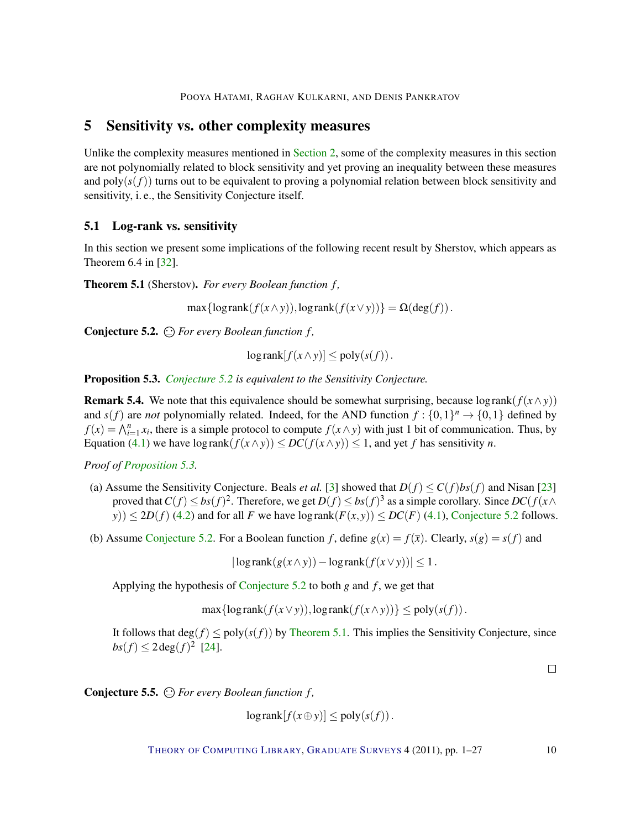# <span id="page-9-7"></span><span id="page-9-0"></span>5 Sensitivity vs. other complexity measures

Unlike the complexity measures mentioned in [Section](#page-2-0) [2,](#page-2-0) some of the complexity measures in this section are not polynomially related to block sensitivity and yet proving an inequality between these measures and  $poly(s(f))$  turns out to be equivalent to proving a polynomial relation between block sensitivity and sensitivity, i. e., the Sensitivity Conjecture itself.

# <span id="page-9-1"></span>5.1 Log-rank vs. sensitivity

In this section we present some implications of the following recent result by Sherstov, which appears as Theorem 6.4 in [\[32\]](#page-24-10).

<span id="page-9-4"></span>Theorem 5.1 (Sherstov). *For every Boolean function f ,*

 $\max{\log \text{rank}(f(x \wedge y)), \log \text{rank}(f(x \vee y))} = \Omega(\deg(f)).$ 

<span id="page-9-2"></span>Conjecture 5.2. *For every Boolean function f ,*

$$
\log \operatorname{rank}[f(x \wedge y)] \le \operatorname{poly}(s(f)).
$$

<span id="page-9-3"></span>Proposition 5.3. *[Conjecture](#page-9-2) [5.2](#page-9-2) is equivalent to the Sensitivity Conjecture.*

<span id="page-9-5"></span>**Remark 5.4.** We note that this equivalence should be somewhat surprising, because log rank( $f(x \wedge y)$ ) and  $s(f)$  are *not* polynomially related. Indeed, for the AND function  $f: \{0,1\}^n \to \{0,1\}$  defined by  $f(x) = \bigwedge_{i=1}^{n} x_i$ , there is a simple protocol to compute  $f(x \wedge y)$  with just 1 bit of communication. Thus, by Equation [\(4.1\)](#page-7-0) we have  $\log \text{rank}(f(x \wedge y)) \leq DC(f(x \wedge y)) \leq 1$ , and yet *f* has sensitivity *n*.

*Proof of [Proposition](#page-9-3) [5.3.](#page-9-3)*

- (a) Assume the Sensitivity Conjecture. Beals *et al.* [\[3\]](#page-22-0) showed that  $D(f) \le C(f)bs(f)$  and Nisan [\[23\]](#page-24-1) proved that  $C(f) \le bs(f)^2$ . Therefore, we get  $D(f) \le bs(f)^3$  as a simple corollary. Since  $DC(f(x \wedge f))$ *y*))  $\leq$  2*D*(*f*) [\(4.2\)](#page-8-0) and for all *F* we have log rank( $F(x, y)$ )  $\leq$  *DC*(*F*) [\(4.1\)](#page-7-0), [Conjecture](#page-9-2) [5.2](#page-9-2) follows.
- (b) Assume [Conjecture](#page-9-2) [5.2.](#page-9-2) For a Boolean function *f*, define  $g(x) = f(\bar{x})$ . Clearly,  $s(g) = s(f)$  and

 $|\log \operatorname{rank}(g(x \wedge y)) - \log \operatorname{rank}(f(x \vee y))| \leq 1.$ 

Applying the hypothesis of [Conjecture](#page-9-2) [5.2](#page-9-2) to both *g* and *f* , we get that

 $\max{\log \text{rank}(f(x \vee y))}, \log \text{rank}(f(x \wedge y)) \leq \text{poly}(s(f)).$ 

It follows that  $\deg(f) \leq \text{poly}(s(f))$  by [Theorem](#page-9-4) [5.1.](#page-9-4) This implies the Sensitivity Conjecture, since  $bs(f) \leq 2 \deg(f)^2$  [\[24\]](#page-24-2).

 $\Box$ 

<span id="page-9-6"></span>Conjecture 5.5. *For every Boolean function f ,*

 $\log \text{rank}[f(x \oplus y)] \le \text{poly}(s(f)).$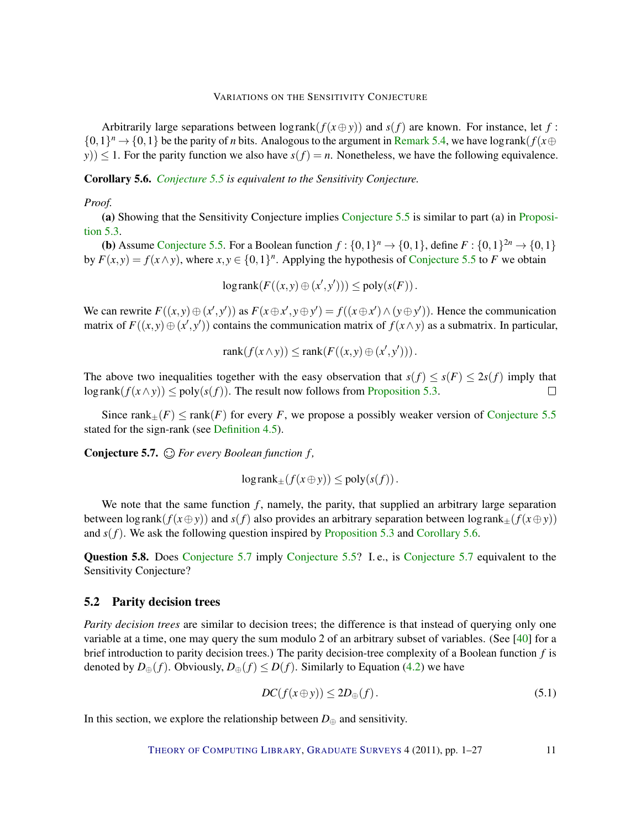<span id="page-10-4"></span>Arbitrarily large separations between  $\log \text{rank}(f(x \oplus y))$  and  $s(f)$  are known. For instance, let f:  $\{0,1\}^n \to \{0,1\}$  be the parity of *n* bits. Analogous to the argument in [Remark](#page-9-5) [5.4,](#page-9-5) we have log rank( $f(x \oplus$ *y*))  $\leq$  1. For the parity function we also have *s*(*f*) = *n*. Nonetheless, we have the following equivalence.

<span id="page-10-2"></span>Corollary 5.6. *[Conjecture](#page-9-6) [5.5](#page-9-6) is equivalent to the Sensitivity Conjecture.*

#### *Proof.*

(a) Showing that the Sensitivity Conjecture implies [Conjecture](#page-9-6) [5.5](#page-9-6) is similar to part (a) in [Proposi](#page-9-3)[tion](#page-9-3) [5.3.](#page-9-3)

**(b)** Assume [Conjecture](#page-9-6) [5.5.](#page-9-6) For a Boolean function  $f: \{0,1\}^n \to \{0,1\}$ , define  $F: \{0,1\}^{2n} \to \{0,1\}$ by  $F(x, y) = f(x \wedge y)$ , where  $x, y \in \{0, 1\}^n$ . Applying the hypothesis of [Conjecture](#page-9-6) [5.5](#page-9-6) to *F* we obtain

$$
\log \operatorname{rank}(F((x, y) \oplus (x', y'))) \le \operatorname{poly}(s(F)).
$$

We can rewrite  $F((x, y) \oplus (x', y'))$  as  $F(x \oplus x', y \oplus y') = f((x \oplus x') \wedge (y \oplus y'))$ . Hence the communication matrix of  $F((x, y) \oplus (x', y'))$  contains the communication matrix of  $f(x \wedge y)$  as a submatrix. In particular,

$$
rank(f(x \wedge y)) \le rank(F((x, y) \oplus (x', y'))).
$$

The above two inequalities together with the easy observation that  $s(f) \leq s(F) \leq 2s(f)$  imply that log rank $(f(x \wedge y)) \leq poly(s(f))$ . The result now follows from [Proposition](#page-9-3) [5.3.](#page-9-3)  $\Box$ 

Since rank $+(F) \le$  rank $(F)$  for every *F*, we propose a possibly weaker version of [Conjecture](#page-9-6) [5.5](#page-9-6) stated for the sign-rank (see [Definition](#page-8-1) [4.5\)](#page-8-1).

<span id="page-10-1"></span>Conjecture 5.7. *For every Boolean function f ,*

$$
log rank_{\pm}(f(x \oplus y)) \leq poly(s(f)).
$$

We note that the same function  $f$ , namely, the parity, that supplied an arbitrary large separation between log rank( $f(x \oplus y)$ ) and  $s(f)$  also provides an arbitrary separation between log rank $+(f(x \oplus y))$ and  $s(f)$ . We ask the following question inspired by [Proposition](#page-9-3) [5.3](#page-9-3) and [Corollary](#page-10-2) [5.6.](#page-10-2)

Question 5.8. Does [Conjecture](#page-10-1) [5.7](#page-10-1) imply [Conjecture](#page-9-6) [5.5?](#page-9-6) I. e., is [Conjecture](#page-10-1) [5.7](#page-10-1) equivalent to the Sensitivity Conjecture?

## <span id="page-10-0"></span>5.2 Parity decision trees

*Parity decision trees* are similar to decision trees; the difference is that instead of querying only one variable at a time, one may query the sum modulo 2 of an arbitrary subset of variables. (See [\[40\]](#page-25-7) for a brief introduction to parity decision trees.) The parity decision-tree complexity of a Boolean function *f* is denoted by  $D_{\oplus}(f)$ . Obviously,  $D_{\oplus}(f) \leq D(f)$ . Similarly to Equation [\(4.2\)](#page-8-0) we have

<span id="page-10-3"></span>
$$
DC(f(x \oplus y)) \le 2D_{\oplus}(f). \tag{5.1}
$$

In this section, we explore the relationship between  $D_{\oplus}$  and sensitivity.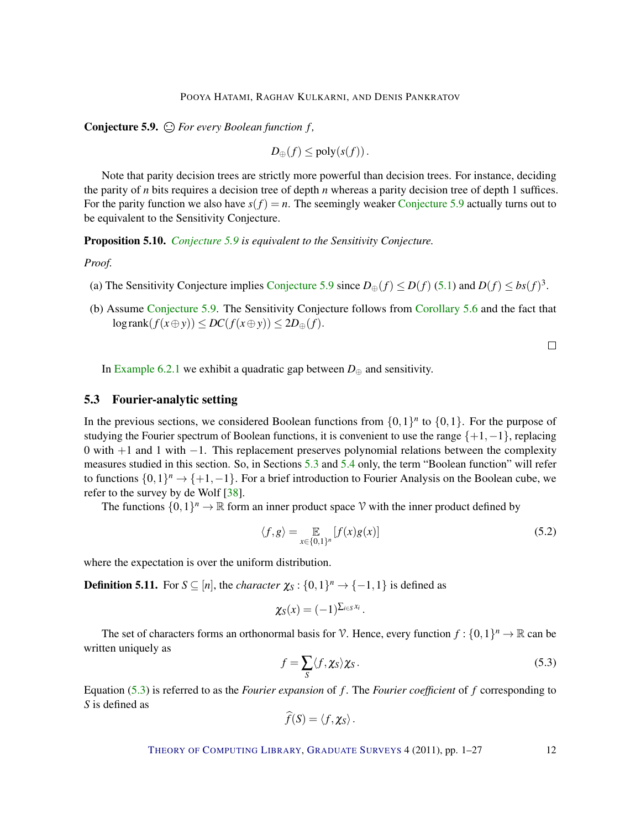<span id="page-11-4"></span><span id="page-11-1"></span>Conjecture 5.9. *For every Boolean function f ,*

$$
D_{\oplus}(f) \leq \text{poly}(s(f)).
$$

Note that parity decision trees are strictly more powerful than decision trees. For instance, deciding the parity of *n* bits requires a decision tree of depth *n* whereas a parity decision tree of depth 1 suffices. For the parity function we also have  $s(f) = n$ . The seemingly weaker [Conjecture](#page-11-1) [5.9](#page-11-1) actually turns out to be equivalent to the Sensitivity Conjecture.

Proposition 5.10. *[Conjecture](#page-11-1) [5.9](#page-11-1) is equivalent to the Sensitivity Conjecture.*

*Proof.*

- (a) The Sensitivity [Conjecture](#page-11-1) implies Conjecture [5.9](#page-11-1) since  $D_{\oplus}(f) \le D(f)$  [\(5.1\)](#page-10-3) and  $D(f) \le bs(f)^3$ .
- (b) Assume [Conjecture](#page-11-1) [5.9.](#page-11-1) The Sensitivity Conjecture follows from [Corollary](#page-10-2) [5.6](#page-10-2) and the fact that  $\log \text{rank}(f(x \oplus y)) \le DC(f(x \oplus y)) \le 2D_{\oplus}(f).$

 $\Box$ 

In [Example](#page-19-0) [6.2.1](#page-19-0) we exhibit a quadratic gap between  $D_{\oplus}$  and sensitivity.

# <span id="page-11-0"></span>5.3 Fourier-analytic setting

In the previous sections, we considered Boolean functions from  $\{0,1\}^n$  to  $\{0,1\}$ . For the purpose of studying the Fourier spectrum of Boolean functions, it is convenient to use the range  $\{+1, -1\}$ , replacing 0 with +1 and 1 with −1. This replacement preserves polynomial relations between the complexity measures studied in this section. So, in Sections [5.3](#page-11-0) and [5.4](#page-14-0) only, the term "Boolean function" will refer to functions  $\{0,1\}^n \to \{+1,-1\}$ . For a brief introduction to Fourier Analysis on the Boolean cube, we refer to the survey by de Wolf [\[38\]](#page-25-8).

The functions  $\{0,1\}^n \to \mathbb{R}$  form an inner product space V with the inner product defined by

<span id="page-11-3"></span>
$$
\langle f, g \rangle = \mathop{\mathbb{E}}_{x \in \{0, 1\}^n} [f(x)g(x)] \tag{5.2}
$$

where the expectation is over the uniform distribution.

**Definition 5.11.** For  $S \subseteq [n]$ , the *character*  $\chi_S : \{0,1\}^n \to \{-1,1\}$  is defined as

$$
\chi_S(x) = (-1)^{\sum_{i \in S} x_i}.
$$

The set of characters forms an orthonormal basis for V. Hence, every function  $f: \{0,1\}^n \to \mathbb{R}$  can be written uniquely as

<span id="page-11-2"></span>
$$
f = \sum_{S} \langle f, \chi_{S} \rangle \chi_{S}. \tag{5.3}
$$

Equation [\(5.3\)](#page-11-2) is referred to as the *Fourier expansion* of *f* . The *Fourier coefficient* of *f* corresponding to *S* is defined as

$$
f(S) = \langle f, \chi_S \rangle.
$$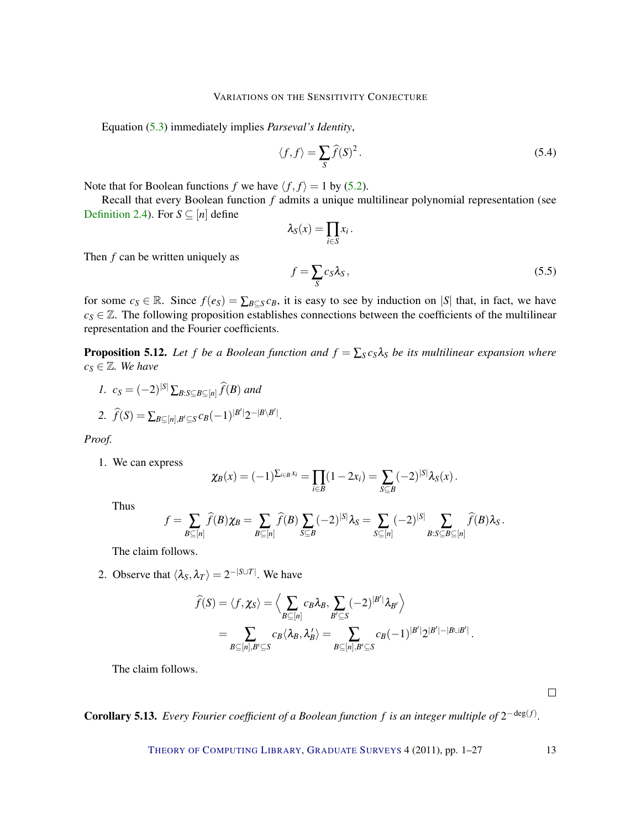Equation [\(5.3\)](#page-11-2) immediately implies *Parseval's Identity*,

<span id="page-12-2"></span>
$$
\langle f, f \rangle = \sum_{S} \widehat{f}(S)^2. \tag{5.4}
$$

Note that for Boolean functions *f* we have  $\langle f, f \rangle = 1$  by [\(5.2\)](#page-11-3).

Recall that every Boolean function *f* admits a unique multilinear polynomial representation (see [Definition](#page-2-1) [2.4\)](#page-2-1). For  $S \subseteq [n]$  define

<span id="page-12-3"></span>
$$
\lambda_S(x) = \prod_{i \in S} x_i.
$$
  

$$
f = \sum_S c_S \lambda_S,
$$
 (5.5)

Then *f* can be written uniquely as

for some  $c_S \in \mathbb{R}$ . Since  $f(e_S) = \sum_{B \subseteq S} c_B$ , it is easy to see by induction on |*S*| that, in fact, we have  $c_S \in \mathbb{Z}$ . The following proposition establishes connections between the coefficients of the multilinear representation and the Fourier coefficients.

<span id="page-12-0"></span>**Proposition 5.12.** Let *f* be a Boolean function and  $f = \sum_{S} c_S \lambda_S$  be its multilinear expansion where  $c_S \in \mathbb{Z}$ *. We have* 

1. 
$$
c_S = (-2)^{|S|} \sum_{B:S \subseteq B \subseteq [n]} \widehat{f}(B)
$$
 and  
\n2.  $\widehat{f}(S) = \sum_{B \subseteq [n], B' \subseteq S} c_B (-1)^{|B'|} 2^{-|B \setminus B'|}.$ 

*Proof.*

1. We can express

$$
\chi_B(x) = (-1)^{\sum_{i \in B} x_i} = \prod_{i \in B} (1 - 2x_i) = \sum_{S \subseteq B} (-2)^{|S|} \lambda_S(x).
$$

Thus

$$
f = \sum_{B \subseteq [n]} \widehat{f}(B) \chi_B = \sum_{B \subseteq [n]} \widehat{f}(B) \sum_{S \subseteq B} (-2)^{|S|} \lambda_S = \sum_{S \subseteq [n]} (-2)^{|S|} \sum_{B:S \subseteq B \subseteq [n]} \widehat{f}(B) \lambda_S.
$$

The claim follows.

2. Observe that  $\langle \lambda_S, \lambda_T \rangle = 2^{-|S \cup T|}$ . We have

$$
\widehat{f}(S) = \langle f, \chi_S \rangle = \Big\langle \sum_{B \subseteq [n]} c_B \lambda_B, \sum_{B' \subseteq S} (-2)^{|B'|} \lambda_{B'} \Big\rangle
$$
  
= 
$$
\sum_{B \subseteq [n], B' \subseteq S} c_B \langle \lambda_B, \lambda_B' \rangle = \sum_{B \subseteq [n], B' \subseteq S} c_B (-1)^{|B'|} 2^{|B'| - |B \cup B'|}.
$$

The claim follows.

 $\Box$ 

<span id="page-12-1"></span>**Corollary 5.13.** Every Fourier coefficient of a Boolean function f is an integer multiple of  $2^{-deg(f)}$ .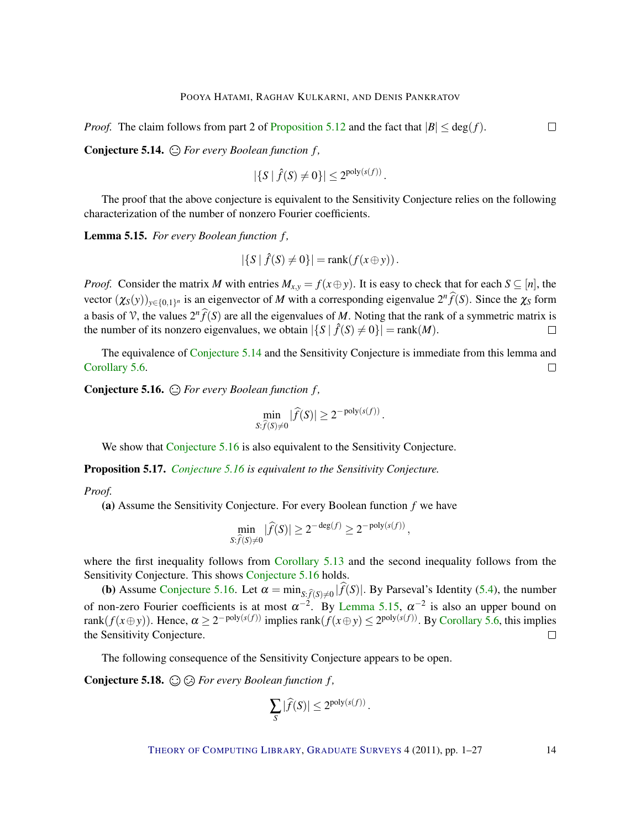*Proof.* The claim follows from part 2 of [Proposition](#page-12-0) [5.12](#page-12-0) and the fact that  $|B| \leq deg(f)$ .

<span id="page-13-0"></span>Conjecture 5.14.  $\bigoplus$  For every Boolean function f,

$$
|\{S \mid \hat{f}(S) \neq 0\}| \leq 2^{\text{poly}(s(f))}.
$$

The proof that the above conjecture is equivalent to the Sensitivity Conjecture relies on the following characterization of the number of nonzero Fourier coefficients.

<span id="page-13-2"></span>Lemma 5.15. For every Boolean function f,

$$
|\{S \mid \hat{f}(S) \neq 0\}| = \text{rank}(f(x \oplus y)).
$$

*Proof.* Consider the matrix *M* with entries  $M_{x,y} = f(x \oplus y)$ . It is easy to check that for each  $S \subseteq [n]$ , the vector  $(\chi_S(y))_{y \in \{0,1\}^n}$  is an eigenvector of *M* with a corresponding eigenvalue  $2^n \hat{f}(S)$ . Since the  $\chi_S$  form a basis of V, the values  $2^n \hat{f}(S)$  are all the eigenvalues of *M*. Noting that the rank of a symmetric matrix is the number of its nonzero eigenvalues, we obtain  $|\{S \mid \hat{f}(S) \neq 0\}| = \text{rank}(M)$ .

The equivalence of [Conjecture](#page-13-0) [5.14](#page-13-0) and the Sensitivity Conjecture is immediate from this lemma and [Corollary](#page-10-2) [5.6.](#page-10-2)  $\Box$ 

<span id="page-13-1"></span>Conjecture 5.16. *For every Boolean function f ,*

$$
\min_{S:\widehat{f}(S)\neq 0} |\widehat{f}(S)| \geq 2^{-\text{poly}(s(f))}.
$$

We show that [Conjecture](#page-13-1) [5.16](#page-13-1) is also equivalent to the Sensitivity Conjecture.

Proposition 5.17. *[Conjecture](#page-13-1) [5.16](#page-13-1) is equivalent to the Sensitivity Conjecture.*

#### *Proof.*

(a) Assume the Sensitivity Conjecture. For every Boolean function *f* we have

$$
\min_{S:\widehat{f}(S)\neq 0} |\widehat{f}(S)| \geq 2^{-\deg(f)} \geq 2^{-\text{poly}(s(f))},
$$

where the first inequality follows from [Corollary](#page-12-1) [5.13](#page-12-1) and the second inequality follows from the Sensitivity Conjecture. This shows [Conjecture](#page-13-1) [5.16](#page-13-1) holds.

(b) Assume [Conjecture](#page-13-1) [5.16.](#page-13-1) Let  $\alpha = \min_{S: \hat{f}(S) \neq 0} |f(S)|$ . By Parseval's Identity [\(5.4\)](#page-12-2), the number of non-zero Fourier coefficients is at most  $\alpha^{-2}$ . By [Lemma](#page-13-2) [5.15,](#page-13-2)  $\alpha^{-2}$  is also an upper bound on  $rank(f(x \oplus y))$ . Hence,  $\alpha \ge 2^{-poly(s(f))}$  implies  $rank(f(x \oplus y) \le 2^{poly(s(f))}$ . By [Corollary](#page-10-2) [5.6,](#page-10-2) this implies the Sensitivity Conjecture.  $\Box$ 

The following consequence of the Sensitivity Conjecture appears to be open.

<span id="page-13-3"></span>Conjecture 5.18. *For every Boolean function f ,*

$$
\sum_{S} |\widehat{f}(S)| \leq 2^{\text{poly}(s(f))}.
$$

THEORY OF C[OMPUTING](http://dx.doi.org/10.4086/toc) LIBRARY, G[RADUATE](http://dx.doi.org/10.4086/toc.gs) SURVEYS 4 (2011), pp. 1–27 14

 $\Box$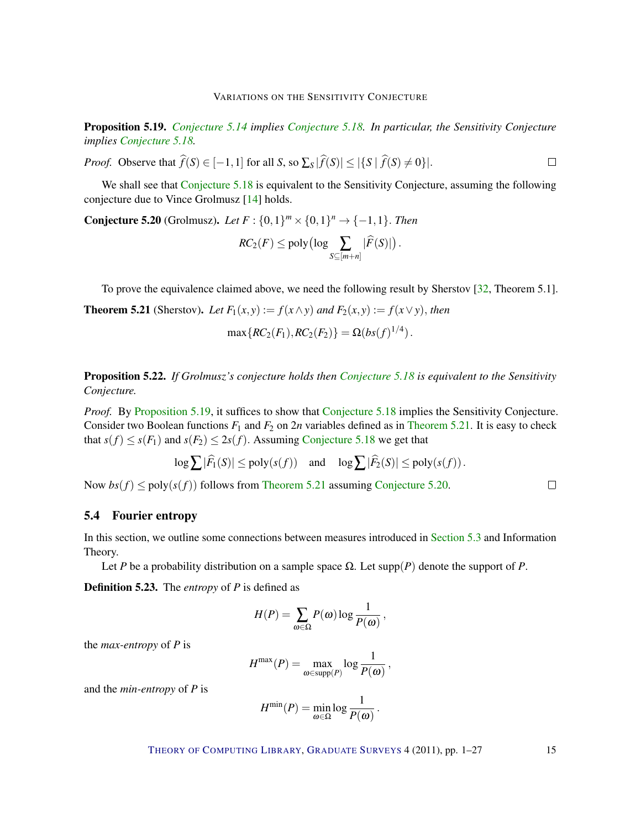<span id="page-14-5"></span><span id="page-14-1"></span>Proposition 5.19. *[Conjecture](#page-13-0) [5.14](#page-13-0) implies [Conjecture](#page-13-3) [5.18.](#page-13-3) In particular, the Sensitivity Conjecture implies [Conjecture](#page-13-3) [5.18.](#page-13-3)*

 $\Box$ *Proof.* Observe that  $f(S) \in [-1,1]$  for all *S*, so  $\sum_{S} |f(S)| \leq |\{S \mid f(S) \neq 0\}|$ .

We shall see that [Conjecture](#page-13-3) [5.18](#page-13-3) is equivalent to the Sensitivity Conjecture, assuming the following conjecture due to Vince Grolmusz [\[14\]](#page-23-9) holds.

<span id="page-14-3"></span>**Conjecture 5.20** (Grolmusz). *Let*  $F : \{0, 1\}^m \times \{0, 1\}^n \rightarrow \{-1, 1\}$ . *Then* 

$$
RC_2(F) \leq \text{poly}\big(\log \sum_{S \subseteq [m+n]} |\widehat{F}(S)|\big).
$$

To prove the equivalence claimed above, we need the following result by Sherstov [\[32,](#page-24-10) Theorem 5.1].

<span id="page-14-2"></span>**Theorem 5.21** (Sherstov). Let  $F_1(x, y) := f(x \wedge y)$  and  $F_2(x, y) := f(x \vee y)$ , then

$$
\max\{RC_2(F_1), RC_2(F_2)\} = \Omega(bs(f)^{1/4}).
$$

Proposition 5.22. *If Grolmusz's conjecture holds then [Conjecture](#page-13-3) [5.18](#page-13-3) is equivalent to the Sensitivity Conjecture.*

*Proof.* By [Proposition](#page-14-1) [5.19,](#page-14-1) it suffices to show that [Conjecture](#page-13-3) [5.18](#page-13-3) implies the Sensitivity Conjecture. Consider two Boolean functions  $F_1$  and  $F_2$  on  $2n$  variables defined as in [Theorem](#page-14-2) [5.21.](#page-14-2) It is easy to check that  $s(f) \leq s(F_1)$  and  $s(F_2) \leq 2s(f)$ . Assuming [Conjecture](#page-13-3) [5.18](#page-13-3) we get that

$$
\log \sum |\widehat{F}_1(S)| \le \text{poly}(s(f)) \quad \text{and} \quad \log \sum |\widehat{F}_2(S)| \le \text{poly}(s(f)).
$$

Now  $bs(f) \leq poly(s(f))$  follows from [Theorem](#page-14-2) [5.21](#page-14-2) assuming [Conjecture](#page-14-3) [5.20.](#page-14-3)

## <span id="page-14-0"></span>5.4 Fourier entropy

In this section, we outline some connections between measures introduced in [Section](#page-11-0) [5.3](#page-11-0) and Information Theory.

Let *P* be a probability distribution on a sample space  $\Omega$ . Let supp(*P*) denote the support of *P*.

<span id="page-14-4"></span>Definition 5.23. The *entropy* of *P* is defined as

$$
H(P) = \sum_{\omega \in \Omega} P(\omega) \log \frac{1}{P(\omega)},
$$

the *max-entropy* of *P* is

$$
H^{\max}(P) = \max_{\omega \in \text{supp}(P)} \log \frac{1}{P(\omega)},
$$

and the *min-entropy* of *P* is

$$
H^{\min}(P) = \min_{\omega \in \Omega} \log \frac{1}{P(\omega)}.
$$

THEORY OF C[OMPUTING](http://dx.doi.org/10.4086/toc) LIBRARY, G[RADUATE](http://dx.doi.org/10.4086/toc.gs) SURVEYS 4 (2011), pp. 1-27 15

 $\Box$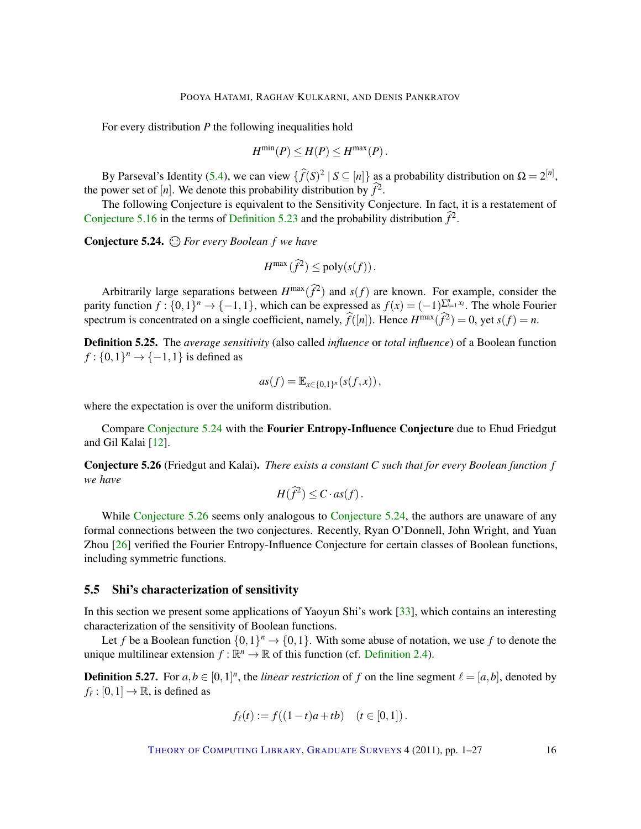<span id="page-15-2"></span>For every distribution *P* the following inequalities hold

$$
H^{\min}(P) \le H(P) \le H^{\max}(P).
$$

By Parseval's Identity [\(5.4\)](#page-12-2), we can view  $\{\widehat{f}(S)^2 | S \subseteq [n]\}$  as a probability distribution on  $\Omega = 2^{[n]}$ , the power set of [*n*]. We denote this probability distribution by  $\hat{f}^2$ .

The following Conjecture is equivalent to the Sensitivity Conjecture. In fact, it is a restatement of [Conjecture](#page-13-1) [5.16](#page-13-1) in the terms of [Definition](#page-14-4) [5.23](#page-14-4) and the probability distribution  $\hat{f}^2$ .

<span id="page-15-0"></span>Conjecture 5.24. *For every Boolean f we have*

$$
H^{\max}(\widehat{f}^2) \leq \text{poly}(s(f)).
$$

Arbitrarily large separations between  $H^{\max}(\hat{f}^2)$  and  $s(f)$  are known. For example, consider the parity function  $f: \{0,1\}^n \to \{-1,1\}$ , which can be expressed as  $f(x) = (-1)^{\sum_{i=1}^n x_i}$ . The whole Fourier spectrum is concentrated on a single coefficient, namely,  $\hat{f}([n])$ . Hence  $H^{\max}(\hat{f}^2) = 0$ , yet  $s(f) = n$ .

Definition 5.25. The *average sensitivity* (also called *influence* or *total influence*) of a Boolean function  $f: \{0, 1\}^n \to \{-1, 1\}$  is defined as

$$
as(f) = \mathbb{E}_{x \in \{0,1\}^n}(s(f,x)),
$$

where the expectation is over the uniform distribution.

Compare [Conjecture](#page-15-0) [5.24](#page-15-0) with the Fourier Entropy-Influence Conjecture due to Ehud Friedgut and Gil Kalai [\[12\]](#page-23-10).

<span id="page-15-1"></span>Conjecture 5.26 (Friedgut and Kalai). *There exists a constant C such that for every Boolean function f we have*

$$
H(\widehat{f}^2) \leq C \cdot as(f).
$$

While [Conjecture](#page-15-0) [5.26](#page-15-1) seems only analogous to Conjecture [5.24,](#page-15-0) the authors are unaware of any formal connections between the two conjectures. Recently, Ryan O'Donnell, John Wright, and Yuan Zhou [\[26\]](#page-24-11) verified the Fourier Entropy-Influence Conjecture for certain classes of Boolean functions, including symmetric functions.

#### 5.5 Shi's characterization of sensitivity

In this section we present some applications of Yaoyun Shi's work [\[33\]](#page-24-12), which contains an interesting characterization of the sensitivity of Boolean functions.

Let *f* be a Boolean function  $\{0,1\}^n \to \{0,1\}$ . With some abuse of notation, we use *f* to denote the unique multilinear extension  $f : \mathbb{R}^n \to \mathbb{R}$  of this function (cf. [Definition](#page-2-1) [2.4\)](#page-2-1).

**Definition 5.27.** For  $a, b \in [0, 1]^n$ , the *linear restriction* of *f* on the line segment  $\ell = [a, b]$ , denoted by  $f_{\ell} : [0,1] \to \mathbb{R}$ , is defined as

$$
f_{\ell}(t) := f((1-t)a + tb) \quad (t \in [0,1]).
$$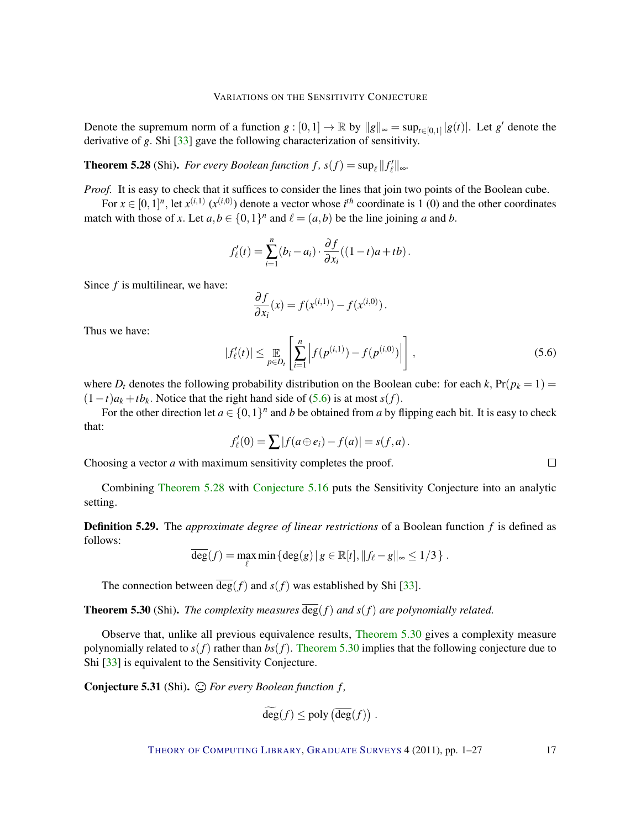<span id="page-16-3"></span>Denote the supremum norm of a function  $g: [0,1] \to \mathbb{R}$  by  $||g||_{\infty} = \sup_{t \in [0,1]} |g(t)|$ . Let  $g'$  denote the derivative of *g*. Shi [\[33\]](#page-24-12) gave the following characterization of sensitivity.

<span id="page-16-1"></span>**Theorem 5.28** (Shi). *For every Boolean function f,*  $s(f) = \sup_{\ell} ||f'_{\ell}||_{\infty}$ .

*Proof.* It is easy to check that it suffices to consider the lines that join two points of the Boolean cube.

For  $x \in [0,1]^n$ , let  $x^{(i,1)} (x^{(i,0)})$  denote a vector whose  $i^{th}$  coordinate is 1 (0) and the other coordinates match with those of *x*. Let  $a, b \in \{0, 1\}^n$  and  $\ell = (a, b)$  be the line joining *a* and *b*.

$$
f'_{\ell}(t) = \sum_{i=1}^{n} (b_i - a_i) \cdot \frac{\partial f}{\partial x_i}((1-t)a + tb).
$$

Since *f* is multilinear, we have:

$$
\frac{\partial f}{\partial x_i}(x) = f(x^{(i,1)}) - f(x^{(i,0)}).
$$

Thus we have:

<span id="page-16-0"></span>
$$
|f'_{\ell}(t)| \leq \mathop{\mathbb{E}}_{p \in D_{t}} \left[ \sum_{i=1}^{n} \left| f(p^{(i,1)}) - f(p^{(i,0)}) \right| \right],
$$
\n(5.6)

where  $D_t$  denotes the following probability distribution on the Boolean cube: for each  $k$ ,  $Pr(p_k = 1)$  =  $(1-t)a_k + tb_k$ . Notice that the right hand side of [\(5.6\)](#page-16-0) is at most *s*(*f*).

For the other direction let  $a \in \{0,1\}^n$  and *b* be obtained from *a* by flipping each bit. It is easy to check that:

$$
f'_{\ell}(0) = \sum |f(a \oplus e_i) - f(a)| = s(f,a).
$$

Choosing a vector *a* with maximum sensitivity completes the proof.

Combining [Theorem](#page-16-1) [5.28](#page-16-1) with [Conjecture](#page-13-1) [5.16](#page-13-1) puts the Sensitivity Conjecture into an analytic setting.

Definition 5.29. The *approximate degree of linear restrictions* of a Boolean function *f* is defined as follows:

$$
\overline{\deg}(f) = \max_{\ell} \min \left\{ \deg(g) \, | \, g \in \mathbb{R}[t], \|f_{\ell} - g\|_{\infty} \leq 1/3 \right\}.
$$

The connection between  $\overline{\deg}(f)$  and  $s(f)$  was established by Shi [\[33\]](#page-24-12).

<span id="page-16-2"></span>**Theorem 5.30** (Shi). *The complexity measures*  $\overline{\deg}(f)$  *and*  $s(f)$  *are polynomially related.* 

Observe that, unlike all previous equivalence results, [Theorem](#page-16-2) [5.30](#page-16-2) gives a complexity measure polynomially related to  $s(f)$  rather than  $bs(f)$ . [Theorem](#page-16-2) [5.30](#page-16-2) implies that the following conjecture due to Shi [\[33\]](#page-24-12) is equivalent to the Sensitivity Conjecture.

Conjecture 5.31 (Shi).  $\bigcirc$  For every Boolean function f,

$$
\deg(f) \leq \text{poly}\left(\overline{\deg}(f)\right).
$$

THEORY OF C[OMPUTING](http://dx.doi.org/10.4086/toc) LIBRARY, G[RADUATE](http://dx.doi.org/10.4086/toc.gs) SURVEYS 4 (2011), pp. 1–27 17

 $\Box$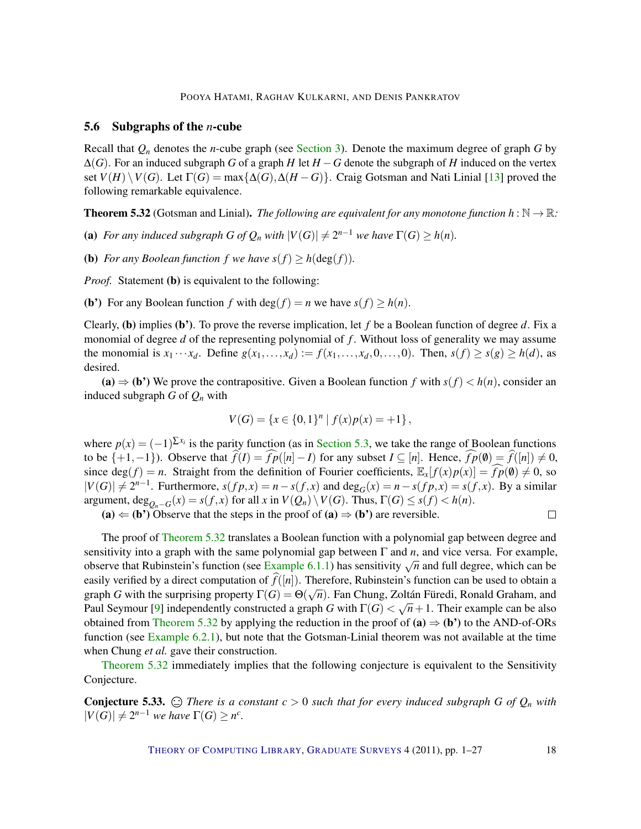#### <span id="page-17-2"></span><span id="page-17-1"></span>5.6 Subgraphs of the *n*-cube

Recall that *Q<sup>n</sup>* denotes the *n*-cube graph (see [Section](#page-4-0) [3\)](#page-4-0). Denote the maximum degree of graph *G* by  $\Delta(G)$ . For an induced subgraph *G* of a graph *H* let  $H - G$  denote the subgraph of *H* induced on the vertex set  $V(H) \setminus V(G)$ . Let  $\Gamma(G) = \max\{\Delta(G), \Delta(H - G)\}\$ . Craig Gotsman and Nati Linial [\[13\]](#page-23-2) proved the following remarkable equivalence.

<span id="page-17-0"></span>**Theorem 5.32** (Gotsman and Linial). *The following are equivalent for any monotone function*  $h : \mathbb{N} \to \mathbb{R}$ *:* 

(a) *For any induced subgraph G of*  $Q_n$  *with*  $|V(G)| \neq 2^{n-1}$  *we have*  $\Gamma(G) \geq h(n)$ *.* 

(**b**) *For any Boolean function f we have*  $s(f) \geq h(\deg(f))$ *.* 

*Proof.* Statement (b) is equivalent to the following:

(**b**) For any Boolean function *f* with deg(*f*) = *n* we have  $s(f) \ge h(n)$ .

Clearly, (b) implies (b'). To prove the reverse implication, let *f* be a Boolean function of degree *d*. Fix a monomial of degree *d* of the representing polynomial of *f* . Without loss of generality we may assume the monomial is  $x_1 \cdots x_d$ . Define  $g(x_1, \ldots, x_d) := f(x_1, \ldots, x_d, 0, \ldots, 0)$ . Then,  $s(f) \ge s(g) \ge h(d)$ , as desired.

(a)  $\Rightarrow$  (b<sup>r</sup>) We prove the contrapositive. Given a Boolean function *f* with  $s(f) < h(n)$ , consider an induced subgraph  $G$  of  $Q_n$  with

$$
V(G) = \{x \in \{0,1\}^n \mid f(x)p(x) = +1\},\
$$

where  $p(x) = (-1)^{\sum x_i}$  is the parity function (as in [Section](#page-11-0) [5.3,](#page-11-0) we take the range of Boolean functions to be  $\{+1,-1\}$ ). Observe that  $\hat{f}(I) = \hat{f}(I|I - I)$  for any subset  $I ⊆ [n]$ . Hence,  $\hat{f}(I|0) = \hat{f}([n]) \neq 0$ , since deg(*f*) = *n*. Straight from the definition of Fourier coefficients,  $\mathbb{E}_x[f(x)p(x)] = \widehat{fp}(0) \neq 0$ , so  $|V(G)| \neq 2^{n-1}$ . Furthermore,  $s(fp,x) = n - s(f,x)$  and  $deg_G(x) = n - s(fp,x) = s(f,x)$ . By a similar argument,  $\deg_{Q_n-G}(x) = s(f, x)$  for all *x* in  $V(Q_n) \setminus V(G)$ . Thus,  $\Gamma(G) \le s(f) < h(n)$ .

(a)  $\Leftarrow$  (b<sup>\*</sup>) Observe that the steps in the proof of (a)  $\Rightarrow$  (b<sup>\*</sup>) are reversible.

The proof of [Theorem](#page-17-0) [5.32](#page-17-0) translates a Boolean function with a polynomial gap between degree and sensitivity into a graph with the same polynomial gap between Γ and *n*, and vice versa. For example, observe that Rubinstein's function (see [Example](#page-18-1) [6.1.1\)](#page-18-1) has sensitivity  $\sqrt{n}$  and full degree, which can be observe that Rubinstein's function (see Example 6.1.1) has sensitivity  $\sqrt{n}$  and full degree, which can be easily verified by a direct computation of  $f([n])$ . Therefore, Rubinstein's function can be used to obtain a graph *G* with the surprising property  $\Gamma(G) = \Theta(\sqrt{n})$ . Fan Chung, Zoltán Füredi, Ronald Graham, and Paul Seymour [\[9\]](#page-23-11) independently constructed a graph *G* with  $\Gamma(G)<\sqrt{n}+1.$  Their example can be also obtained from [Theorem](#page-17-0) [5.32](#page-17-0) by applying the reduction in the proof of  $(a) \Rightarrow (b')$  to the AND-of-ORs function (see [Example](#page-19-0) [6.2.1\)](#page-19-0), but note that the Gotsman-Linial theorem was not available at the time when Chung *et al.* gave their construction.

[Theorem](#page-17-0) [5.32](#page-17-0) immediately implies that the following conjecture is equivalent to the Sensitivity Conjecture.

**Conjecture 5.33.**  $\bigcirc$  *There is a constant*  $c > 0$  *such that for every induced subgraph G of*  $Q_n$  *with*  $|V(G)| \neq 2^{n-1}$  *we have*  $\Gamma(G) \geq n^c$ .

THEORY OF C[OMPUTING](http://dx.doi.org/10.4086/toc) LIBRARY, G[RADUATE](http://dx.doi.org/10.4086/toc.gs) SURVEYS 4 (2011), pp. 1-27 18

 $\Box$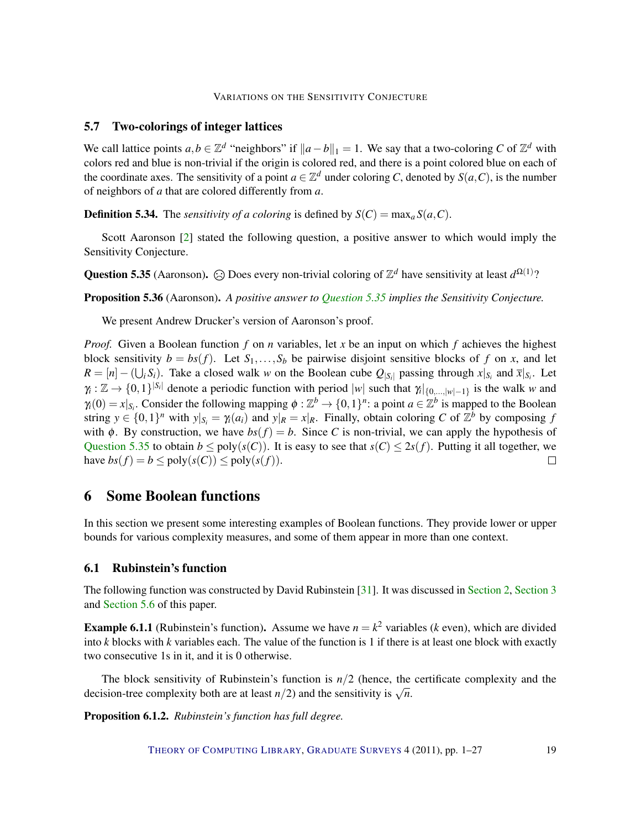# <span id="page-18-3"></span>5.7 Two-colorings of integer lattices

We call lattice points  $a, b \in \mathbb{Z}^d$  "neighbors" if  $\|a - b\|_1 = 1$ . We say that a two-coloring *C* of  $\mathbb{Z}^d$  with colors red and blue is non-trivial if the origin is colored red, and there is a point colored blue on each of the coordinate axes. The sensitivity of a point  $a \in \mathbb{Z}^d$  under coloring *C*, denoted by  $S(a, C)$ , is the number of neighbors of *a* that are colored differently from *a*.

**Definition 5.34.** The *sensitivity of a coloring* is defined by  $S(C) = \max_{a} S(a, C)$ .

Scott Aaronson [\[2\]](#page-22-5) stated the following question, a positive answer to which would imply the Sensitivity Conjecture.

<span id="page-18-2"></span>Question 5.35 (Aaronson).  $\odot$  Does every non-trivial coloring of  $\mathbb{Z}^d$  have sensitivity at least  $d^{\Omega(1)}$ ?

Proposition 5.36 (Aaronson). *A positive answer to [Question](#page-18-2) [5.35](#page-18-2) implies the Sensitivity Conjecture.*

We present Andrew Drucker's version of Aaronson's proof.

*Proof.* Given a Boolean function *f* on *n* variables, let *x* be an input on which *f* achieves the highest block sensitivity  $b = bs(f)$ . Let  $S_1, \ldots, S_b$  be pairwise disjoint sensitive blocks of f on x, and let  $R = [n] - (\bigcup_i S_i)$ . Take a closed walk *w* on the Boolean cube  $Q_{|S_i|}$  passing through  $x|_{S_i}$  and  $\bar{x}|_{S_i}$ . Let  $\gamma_i : \mathbb{Z} \to \{0,1\}^{|S_i|}$  denote a periodic function with period  $|w|$  such that  $\gamma_i|_{\{0,\dots,|w|-1\}}$  is the walk *w* and  $\gamma_i(0) = x|_{S_i}$ . Consider the following mapping  $\phi : \mathbb{Z}^b \to \{0,1\}^n$ : a point  $a \in \mathbb{Z}^b$  is mapped to the Boolean string  $y \in \{0,1\}^n$  with  $y|_{S_i} = \gamma_i(a_i)$  and  $y|_R = x|_R$ . Finally, obtain coloring *C* of  $\mathbb{Z}^b$  by composing *f* with  $\phi$ . By construction, we have  $bs(f) = b$ . Since *C* is non-trivial, we can apply the hypothesis of [Question](#page-18-2) [5.35](#page-18-2) to obtain  $b \leq poly(s(C))$ . It is easy to see that  $s(C) \leq 2s(f)$ . Putting it all together, we have  $bs(f) = b \leq poly(s(C)) \leq poly(s(f)).$  $\Box$ 

# <span id="page-18-0"></span>6 Some Boolean functions

In this section we present some interesting examples of Boolean functions. They provide lower or upper bounds for various complexity measures, and some of them appear in more than one context.

#### 6.1 Rubinstein's function

The following function was constructed by David Rubinstein [\[31\]](#page-24-13). It was discussed in [Section](#page-2-0) [2,](#page-2-0) [Section](#page-4-0) [3](#page-4-0) and [Section](#page-17-1) [5.6](#page-17-1) of this paper.

<span id="page-18-1"></span>**Example 6.1.1** (Rubinstein's function). Assume we have  $n = k^2$  variables (*k* even), which are divided into *k* blocks with *k* variables each. The value of the function is 1 if there is at least one block with exactly two consecutive 1s in it, and it is 0 otherwise.

The block sensitivity of Rubinstein's function is *n*/2 (hence, the certificate complexity and the decision-tree complexity both are at least *n*/2) and the sensitivity is  $\sqrt{n}$ .

Proposition 6.1.2. *Rubinstein's function has full degree.*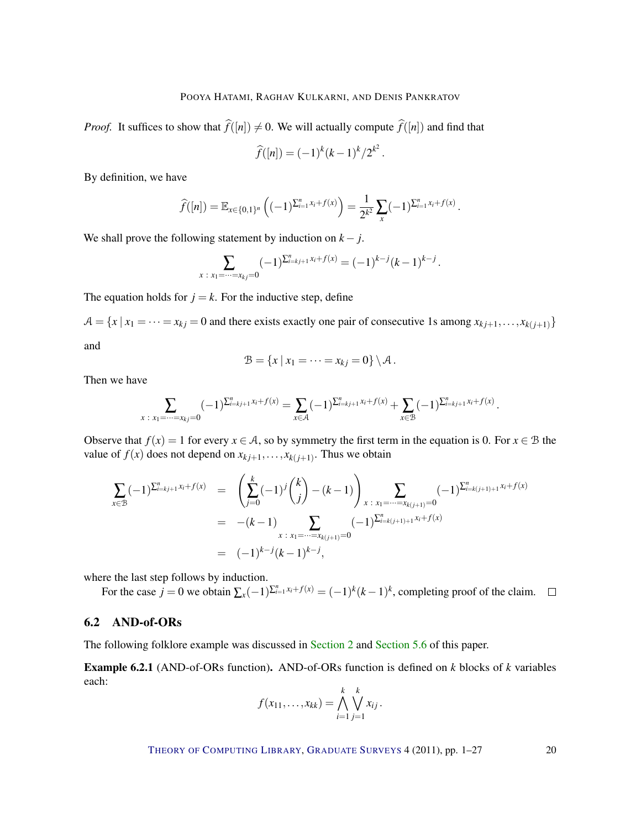*Proof.* It suffices to show that  $\hat{f}([n]) \neq 0$ . We will actually compute  $\hat{f}([n])$  and find that

$$
\widehat{f}([n]) = (-1)^k (k-1)^k / 2^{k^2}.
$$

By definition, we have

$$
\widehat{f}([n]) = \mathbb{E}_{x \in \{0,1\}^n} \left( (-1)^{\sum_{i=1}^n x_i + f(x)} \right) = \frac{1}{2^{k^2}} \sum_x (-1)^{\sum_{i=1}^n x_i + f(x)}.
$$

We shall prove the following statement by induction on  $k - j$ .

$$
\sum_{x \; : \; x_1 = \dots = x_k = 0} (-1)^{\sum_{i=k}^n j_i + 1} x_i + f(x) = (-1)^{k-j} (k-1)^{k-j}.
$$

The equation holds for  $j = k$ . For the inductive step, define

 $A = \{x \mid x_1 = \cdots = x_{kj} = 0 \text{ and there exists exactly one pair of consecutive 1s among } x_{kj+1}, \ldots, x_{k(j+1)}\}$ and

$$
\mathcal{B} = \{x \mid x_1 = \cdots = x_{kj} = 0\} \setminus \mathcal{A}.
$$

Then we have

$$
\sum_{x \; : \; x_1 = \dots = x_k = 0} (-1)^{\sum_{i=k}^n x_i} (x_i)^{\sum_{i=k+1}^n x_i + f(x)} = \sum_{x \in \mathcal{A}} (-1)^{\sum_{i=k+1}^n x_i + f(x)} + \sum_{x \in \mathcal{B}} (-1)^{\sum_{i=k+1}^n x_i + f(x)}.
$$

Observe that  $f(x) = 1$  for every  $x \in A$ , so by symmetry the first term in the equation is 0. For  $x \in B$  the value of  $f(x)$  does not depend on  $x_{kj+1}, \ldots, x_{k(j+1)}$ . Thus we obtain

$$
\sum_{x \in \mathcal{B}} (-1)^{\sum_{i=k}^{n} x_i + f(x)} = \left( \sum_{j=0}^{k} (-1)^j {k \choose j} - (k-1) \right)_{x \; : \; x_1 = \dots = x_{k(j+1)} = 0} (-1)^{\sum_{i=k(j+1)+1}^{n} x_i + f(x)}
$$
\n
$$
= -(k-1) \sum_{x \; : \; x_1 = \dots = x_{k(j+1)} = 0} (-1)^{\sum_{i=k(j+1)+1}^{n} x_i + f(x)}
$$
\n
$$
= (-1)^{k-j} (k-1)^{k-j},
$$

where the last step follows by induction.

For the case  $j = 0$  we obtain  $\sum_{x} (-1)^{\sum_{i=1}^{n} x_i + f(x)} = (-1)^k (k-1)^k$ , completing proof of the claim.

# 6.2 AND-of-ORs

The following folklore example was discussed in [Section](#page-2-0) [2](#page-2-0) and [Section](#page-17-1) [5.6](#page-17-1) of this paper.

<span id="page-19-0"></span>Example 6.2.1 (AND-of-ORs function). AND-of-ORs function is defined on *k* blocks of *k* variables each:

$$
f(x_{11},...,x_{kk}) = \bigwedge_{i=1}^{k} \bigvee_{j=1}^{k} x_{ij}.
$$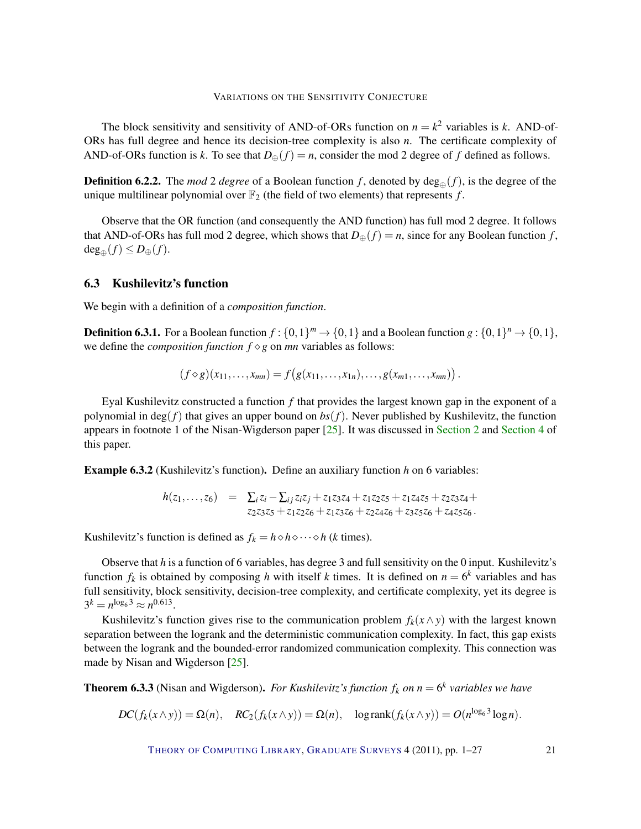<span id="page-20-2"></span>The block sensitivity and sensitivity of AND-of-ORs function on  $n = k^2$  variables is *k*. AND-of-ORs has full degree and hence its decision-tree complexity is also *n*. The certificate complexity of AND-of-ORs function is *k*. To see that  $D_{\oplus}(f) = n$ , consider the mod 2 degree of *f* defined as follows.

**Definition 6.2.2.** The *mod* 2 *degree* of a Boolean function f, denoted by  $deg_{\mathbb{A}}(f)$ , is the degree of the unique multilinear polynomial over  $\mathbb{F}_2$  (the field of two elements) that represents  $f$ .

Observe that the OR function (and consequently the AND function) has full mod 2 degree. It follows that AND-of-ORs has full mod 2 degree, which shows that  $D_{\oplus}(f) = n$ , since for any Boolean function *f*,  $deg_{\oplus}(f) \leq D_{\oplus}(f)$ .

## 6.3 Kushilevitz's function

We begin with a definition of a *composition function*.

**Definition 6.3.1.** For a Boolean function  $f: \{0,1\}^m \to \{0,1\}$  and a Boolean function  $g: \{0,1\}^n \to \{0,1\}$ , we define the *composition function*  $f \diamond g$  on *mn* variables as follows:

$$
(f \diamond g)(x_{11},\ldots,x_{mn})=f(g(x_{11},\ldots,x_{1n}),\ldots,g(x_{m1},\ldots,x_{mn})).
$$

Eyal Kushilevitz constructed a function *f* that provides the largest known gap in the exponent of a polynomial in deg( $f$ ) that gives an upper bound on  $bs(f)$ . Never published by Kushilevitz, the function appears in footnote 1 of the Nisan-Wigderson paper [\[25\]](#page-24-3). It was discussed in [Section](#page-2-0) [2](#page-2-0) and [Section](#page-6-0) [4](#page-6-0) of this paper.

<span id="page-20-0"></span>Example 6.3.2 (Kushilevitz's function). Define an auxiliary function *h* on 6 variables:

$$
h(z_1,...,z_6) = \sum_i z_i - \sum_{ij} z_i z_j + z_1 z_3 z_4 + z_1 z_2 z_5 + z_1 z_4 z_5 + z_2 z_3 z_4 + z_2 z_3 z_5 + z_1 z_2 z_6 + z_1 z_3 z_6 + z_2 z_4 z_6 + z_3 z_5 z_6 + z_4 z_5 z_6.
$$

Kushilevitz's function is defined as  $f_k = h \diamond h \diamond \cdots \diamond h$  (*k* times).

Observe that *h* is a function of 6 variables, has degree 3 and full sensitivity on the 0 input. Kushilevitz's function  $f_k$  is obtained by composing *h* with itself *k* times. It is defined on  $n = 6^k$  variables and has full sensitivity, block sensitivity, decision-tree complexity, and certificate complexity, yet its degree is  $3^k = n^{\log_6 3} \approx n^{0.613}.$ 

Kushilevitz's function gives rise to the communication problem  $f_k(x \wedge y)$  with the largest known separation between the logrank and the deterministic communication complexity. In fact, this gap exists between the logrank and the bounded-error randomized communication complexity. This connection was made by Nisan and Wigderson [\[25\]](#page-24-3).

<span id="page-20-1"></span>**Theorem 6.3.3** (Nisan and Wigderson). *For Kushilevitz's function*  $f_k$  *on*  $n = 6^k$  *variables we have* 

$$
DC(f_k(x \wedge y)) = \Omega(n), \quad RC_2(f_k(x \wedge y)) = \Omega(n), \quad \text{logrank}(f_k(x \wedge y)) = O(n^{\log_6 3} \log n).
$$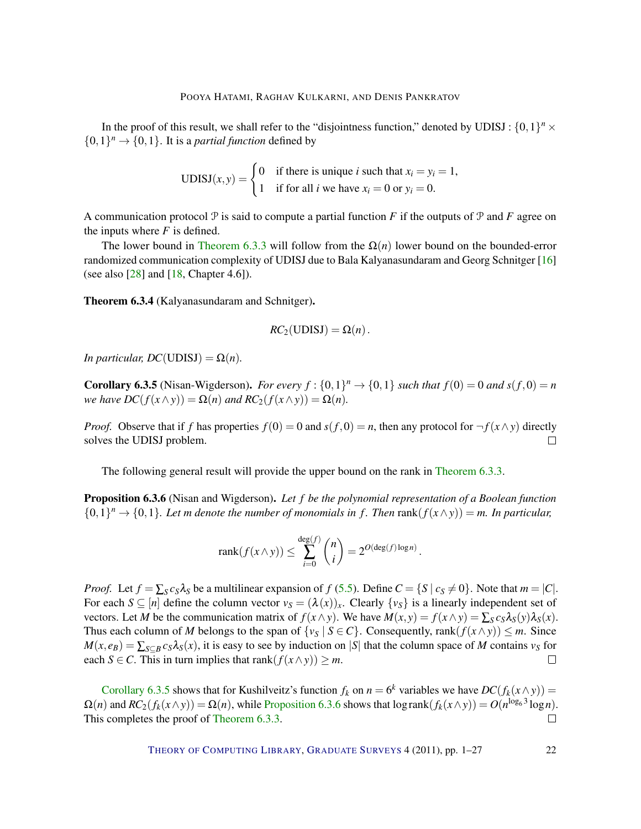<span id="page-21-2"></span>In the proof of this result, we shall refer to the "disjointness function," denoted by UDISJ:  $\{0,1\}^n \times$  $\{0,1\}^n \rightarrow \{0,1\}$ . It is a *partial function* defined by

UDISJ
$$
(x, y)
$$
 = 
$$
\begin{cases} 0 & \text{if there is unique } i \text{ such that } x_i = y_i = 1, \\ 1 & \text{if for all } i \text{ we have } x_i = 0 \text{ or } y_i = 0. \end{cases}
$$

A communication protocol  $P$  is said to compute a partial function *F* if the outputs of  $P$  and  $F$  agree on the inputs where  $F$  is defined.

The lower bound in [Theorem](#page-20-1) [6.3.3](#page-20-1) will follow from the  $\Omega(n)$  lower bound on the bounded-error randomized communication complexity of UDISJ due to Bala Kalyanasundaram and Georg Schnitger [\[16\]](#page-23-12) (see also  $[28]$  and  $[18, Chapter 4.6]$  $[18, Chapter 4.6]$ ).

Theorem 6.3.4 (Kalyanasundaram and Schnitger).

$$
RC_2(\text{UDISJ}) = \Omega(n).
$$

*In particular, DC*(UDISJ) =  $\Omega(n)$ *.* 

<span id="page-21-0"></span>**Corollary 6.3.5** (Nisan-Wigderson). *For every*  $f : \{0,1\}^n \to \{0,1\}$  such that  $f(0) = 0$  and  $s(f,0) = n$ *we have DC*( $f(x \wedge y)$ ) =  $\Omega(n)$  *and RC*<sub>2</sub>( $f(x \wedge y)$ ) =  $\Omega(n)$ *.* 

*Proof.* Observe that if *f* has properties  $f(0) = 0$  and  $s(f, 0) = n$ , then any protocol for  $\neg f(x \wedge y)$  directly solves the UDISJ problem.  $\Box$ 

The following general result will provide the upper bound on the rank in [Theorem](#page-20-1) [6.3.3.](#page-20-1)

<span id="page-21-1"></span>Proposition 6.3.6 (Nisan and Wigderson). *Let f be the polynomial representation of a Boolean function*  $\{0,1\}^n \to \{0,1\}$ . Let m denote the number of monomials in f. Then rank $(f(x \wedge y)) = m$ . In particular,

$$
rank(f(x \wedge y)) \leq \sum_{i=0}^{deg(f)} {n \choose i} = 2^{O(deg(f) \log n)}.
$$

*Proof.* Let  $f = \sum_{S} c_{S} \lambda_{S}$  be a multilinear expansion of  $f(5.5)$  $f(5.5)$ . Define  $C = \{S \mid c_{S} \neq 0\}$ . Note that  $m = |C|$ . For each  $S \subseteq [n]$  define the column vector  $v_S = (\lambda(x))_x$ . Clearly  $\{v_S\}$  is a linearly independent set of vectors. Let *M* be the communication matrix of  $f(x \wedge y)$ . We have  $M(x, y) = f(x \wedge y) = \sum_{S} c_S \lambda_S(y) \lambda_S(x)$ . Thus each column of *M* belongs to the span of  $\{v_s \mid S \in C\}$ . Consequently, rank $(f(x \wedge y)) \leq m$ . Since  $M(x, e_B) = \sum_{S \subset B} c_S \lambda_S(x)$ , it is easy to see by induction on |*S*| that the column space of *M* contains  $v_S$  for each *S*  $\in$  *C*. This in turn implies that rank $(f(x \wedge y)) \ge m$ .  $\Box$ 

[Corollary](#page-21-0) [6.3.5](#page-21-0) shows that for Kushilveitz's function  $f_k$  on  $n = 6^k$  variables we have  $DC(f_k(x \wedge y)) =$  $\Omega(n)$  and  $RC_2(f_k(x \wedge y)) = \Omega(n)$ , while [Proposition](#page-21-1) [6.3.6](#page-21-1) shows that  $\log \text{rank}(f_k(x \wedge y)) = O(n^{\log_6 3} \log n)$ . This completes the proof of [Theorem](#page-20-1) [6.3.3.](#page-20-1)  $\Box$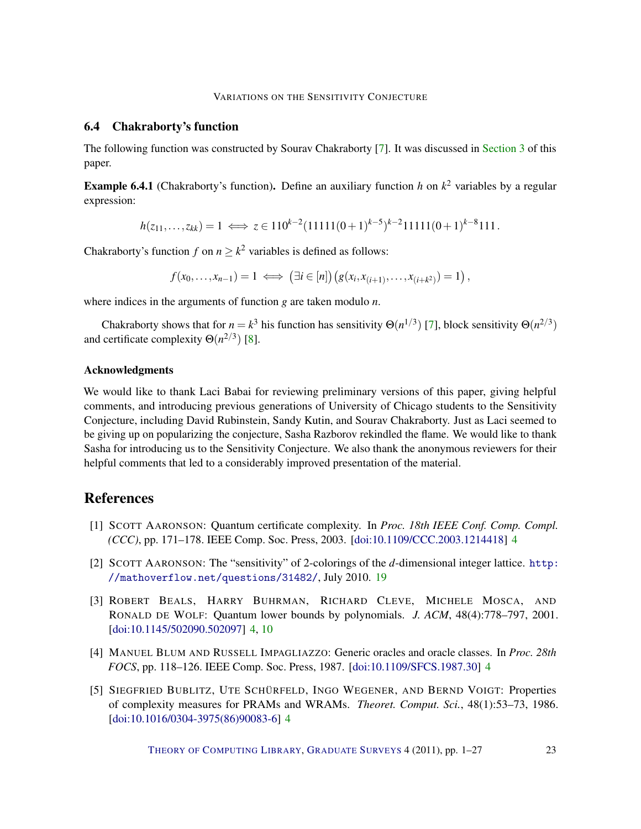## <span id="page-22-6"></span>6.4 Chakraborty's function

The following function was constructed by Sourav Chakraborty [\[7\]](#page-23-5). It was discussed in [Section](#page-4-0) [3](#page-4-0) of this paper.

<span id="page-22-4"></span>Example 6.4.1 (Chakraborty's function). Define an auxiliary function *h* on *k* <sup>2</sup> variables by a regular expression:

$$
h(z_{11},...,z_{kk}) = 1 \iff z \in 110^{k-2} (11111(0+1)^{k-5})^{k-2} 11111(0+1)^{k-8} 111.
$$

Chakraborty's function *f* on  $n \geq k^2$  variables is defined as follows:

 $f(x_0,...,x_{n-1}) = 1 \iff (\exists i \in [n]) (g(x_i,x_{(i+1)},...,x_{(i+k^2)}) = 1),$ 

where indices in the arguments of function *g* are taken modulo *n*.

Chakraborty shows that for  $n = k^3$  his function has sensitivity  $\Theta(n^{1/3})$  [\[7\]](#page-23-5), block sensitivity  $\Theta(n^{2/3})$ and certificate complexity  $\Theta(n^{2/3})$  [\[8\]](#page-23-13).

## Acknowledgments

We would like to thank Laci Babai for reviewing preliminary versions of this paper, giving helpful comments, and introducing previous generations of University of Chicago students to the Sensitivity Conjecture, including David Rubinstein, Sandy Kutin, and Sourav Chakraborty. Just as Laci seemed to be giving up on popularizing the conjecture, Sasha Razborov rekindled the flame. We would like to thank Sasha for introducing us to the Sensitivity Conjecture. We also thank the anonymous reviewers for their helpful comments that led to a considerably improved presentation of the material.

# References

- <span id="page-22-2"></span>[1] SCOTT AARONSON: Quantum certificate complexity. In *Proc. 18th IEEE Conf. Comp. Compl. (CCC)*, pp. 171–178. IEEE Comp. Soc. Press, 2003. [\[doi:10.1109/CCC.2003.1214418\]](http://dx.doi.org/10.1109/CCC.2003.1214418) [4](#page-3-3)
- <span id="page-22-5"></span>[2] SCOTT AARONSON: The "sensitivity" of 2-colorings of the *d*-dimensional integer lattice. [http:](http://mathoverflow.net/questions/31482/) [//mathoverflow.net/questions/31482/](http://mathoverflow.net/questions/31482/), July 2010. [19](#page-18-3)
- <span id="page-22-0"></span>[3] ROBERT BEALS, HARRY BUHRMAN, RICHARD CLEVE, MICHELE MOSCA, AND RONALD DE WOLF: Quantum lower bounds by polynomials. *J. ACM*, 48(4):778–797, 2001. [\[doi:10.1145/502090.502097\]](http://dx.doi.org/10.1145/502090.502097) [4,](#page-3-3) [10](#page-9-7)
- <span id="page-22-3"></span>[4] MANUEL BLUM AND RUSSELL IMPAGLIAZZO: Generic oracles and oracle classes. In *Proc. 28th FOCS*, pp. 118–126. IEEE Comp. Soc. Press, 1987. [\[doi:10.1109/SFCS.1987.30\]](http://dx.doi.org/10.1109/SFCS.1987.30) [4](#page-3-3)
- <span id="page-22-1"></span>[5] SIEGFRIED BUBLITZ, UTE SCHÜRFELD, INGO WEGENER, AND BERND VOIGT: Properties of complexity measures for PRAMs and WRAMs. *Theoret. Comput. Sci.*, 48(1):53–73, 1986. [\[doi:10.1016/0304-3975\(86\)90083-6\]](http://dx.doi.org/10.1016/0304-3975(86)90083-6) [4](#page-3-3)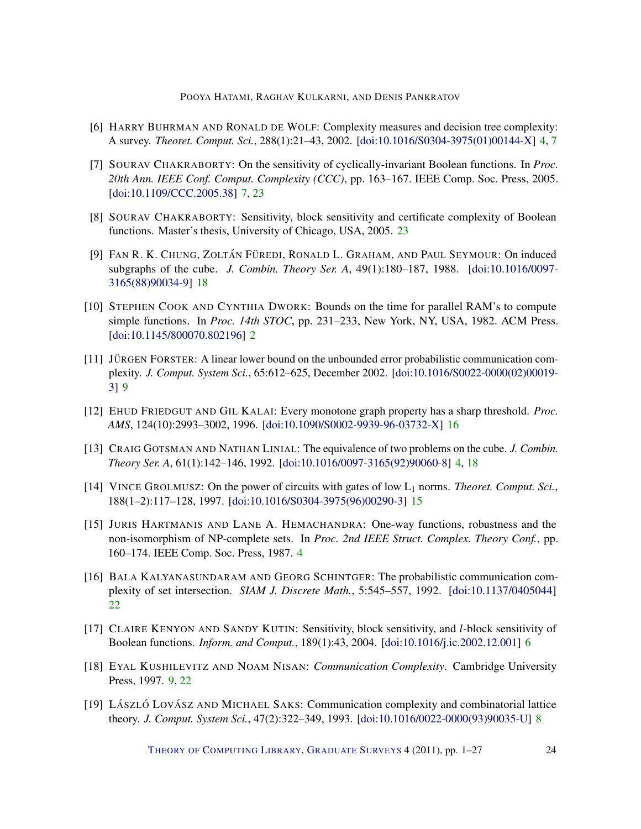- <span id="page-23-1"></span>[6] HARRY BUHRMAN AND RONALD DE WOLF: Complexity measures and decision tree complexity: A survey. *Theoret. Comput. Sci.*, 288(1):21–43, 2002. [\[doi:10.1016/S0304-3975\(01\)00144-X\]](http://dx.doi.org/10.1016/S0304-3975(01)00144-X) [4,](#page-3-3) [7](#page-6-2)
- <span id="page-23-5"></span>[7] SOURAV CHAKRABORTY: On the sensitivity of cyclically-invariant Boolean functions. In *Proc. 20th Ann. IEEE Conf. Comput. Complexity (CCC)*, pp. 163–167. IEEE Comp. Soc. Press, 2005. [\[doi:10.1109/CCC.2005.38\]](http://dx.doi.org/10.1109/CCC.2005.38) [7,](#page-6-2) [23](#page-22-6)
- <span id="page-23-13"></span>[8] SOURAV CHAKRABORTY: Sensitivity, block sensitivity and certificate complexity of Boolean functions. Master's thesis, University of Chicago, USA, 2005. [23](#page-22-6)
- <span id="page-23-11"></span>[9] FAN R. K. CHUNG, ZOLTÁN FÜREDI, RONALD L. GRAHAM, AND PAUL SEYMOUR: On induced subgraphs of the cube. *J. Combin. Theory Ser. A*, 49(1):180–187, 1988. [\[doi:10.1016/0097-](http://dx.doi.org/10.1016/0097-3165(88)90034-9) [3165\(88\)90034-9\]](http://dx.doi.org/10.1016/0097-3165(88)90034-9) [18](#page-17-2)
- <span id="page-23-0"></span>[10] STEPHEN COOK AND CYNTHIA DWORK: Bounds on the time for parallel RAM's to compute simple functions. In *Proc. 14th STOC*, pp. 231–233, New York, NY, USA, 1982. ACM Press. [\[doi:10.1145/800070.802196\]](http://dx.doi.org/10.1145/800070.802196) [2](#page-1-2)
- <span id="page-23-7"></span>[11] JÜRGEN FORSTER: A linear lower bound on the unbounded error probabilistic communication complexity. *J. Comput. System Sci.*, 65:612–625, December 2002. [\[doi:10.1016/S0022-0000\(02\)00019-](http://dx.doi.org/10.1016/S0022-0000(02)00019-3) [3\]](http://dx.doi.org/10.1016/S0022-0000(02)00019-3) [9](#page-8-2)
- <span id="page-23-10"></span>[12] EHUD FRIEDGUT AND GIL KALAI: Every monotone graph property has a sharp threshold. *Proc. AMS*, 124(10):2993–3002, 1996. [\[doi:10.1090/S0002-9939-96-03732-X\]](http://dx.doi.org/10.1090/S0002-9939-96-03732-X) [16](#page-15-2)
- <span id="page-23-2"></span>[13] CRAIG GOTSMAN AND NATHAN LINIAL: The equivalence of two problems on the cube. *J. Combin. Theory Ser. A*, 61(1):142–146, 1992. [\[doi:10.1016/0097-3165\(92\)90060-8\]](http://dx.doi.org/10.1016/0097-3165(92)90060-8) [4,](#page-3-3) [18](#page-17-2)
- <span id="page-23-9"></span>[14] VINCE GROLMUSZ: On the power of circuits with gates of low L<sup>1</sup> norms. *Theoret. Comput. Sci.*, 188(1–2):117–128, 1997. [\[doi:10.1016/S0304-3975\(96\)00290-3\]](http://dx.doi.org/10.1016/S0304-3975(96)00290-3) [15](#page-14-5)
- <span id="page-23-3"></span>[15] JURIS HARTMANIS AND LANE A. HEMACHANDRA: One-way functions, robustness and the non-isomorphism of NP-complete sets. In *Proc. 2nd IEEE Struct. Complex. Theory Conf.*, pp. 160–174. IEEE Comp. Soc. Press, 1987. [4](#page-3-3)
- <span id="page-23-12"></span>[16] BALA KALYANASUNDARAM AND GEORG SCHINTGER: The probabilistic communication complexity of set intersection. *SIAM J. Discrete Math.*, 5:545–557, 1992. [\[doi:10.1137/0405044\]](http://dx.doi.org/10.1137/0405044) [22](#page-21-2)
- <span id="page-23-4"></span>[17] CLAIRE KENYON AND SANDY KUTIN: Sensitivity, block sensitivity, and *l*-block sensitivity of Boolean functions. *Inform. and Comput.*, 189(1):43, 2004. [\[doi:10.1016/j.ic.2002.12.001\]](http://dx.doi.org/10.1016/j.ic.2002.12.001) [6](#page-5-0)
- <span id="page-23-8"></span>[18] EYAL KUSHILEVITZ AND NOAM NISAN: *Communication Complexity*. Cambridge University Press, 1997. [9,](#page-8-2) [22](#page-21-2)
- <span id="page-23-6"></span>[19] LÁSZLÓ LOVÁSZ AND MICHAEL SAKS: Communication complexity and combinatorial lattice theory. *J. Comput. System Sci.*, 47(2):322–349, 1993. [\[doi:10.1016/0022-0000\(93\)90035-U\]](http://dx.doi.org/10.1016/0022-0000(93)90035-U) [8](#page-7-1)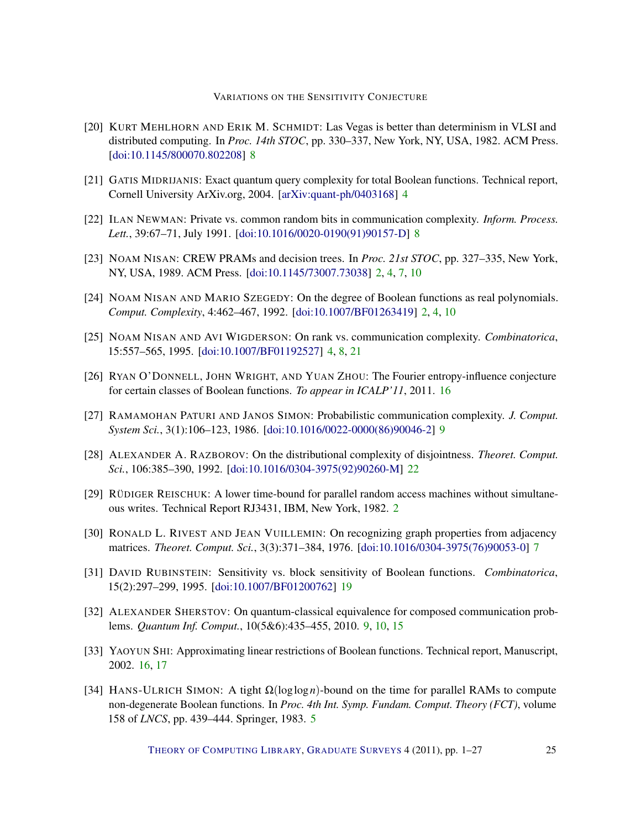- <span id="page-24-7"></span>[20] KURT MEHLHORN AND ERIK M. SCHMIDT: Las Vegas is better than determinism in VLSI and distributed computing. In *Proc. 14th STOC*, pp. 330–337, New York, NY, USA, 1982. ACM Press. [\[doi:10.1145/800070.802208\]](http://dx.doi.org/10.1145/800070.802208) [8](#page-7-1)
- <span id="page-24-4"></span>[21] GATIS MIDRIJANIS: Exact quantum query complexity for total Boolean functions. Technical report, Cornell University ArXiv.org, 2004. [\[arXiv:quant-ph/0403168\]](http://arxiv.org/abs/quant-ph/0403168) [4](#page-3-3)
- <span id="page-24-8"></span>[22] ILAN NEWMAN: Private vs. common random bits in communication complexity. *Inform. Process. Lett.*, 39:67–71, July 1991. [\[doi:10.1016/0020-0190\(91\)90157-D\]](http://dx.doi.org/10.1016/0020-0190(91)90157-D) [8](#page-7-1)
- <span id="page-24-1"></span>[23] NOAM NISAN: CREW PRAMs and decision trees. In *Proc. 21st STOC*, pp. 327–335, New York, NY, USA, 1989. ACM Press. [\[doi:10.1145/73007.73038\]](http://dx.doi.org/10.1145/73007.73038) [2,](#page-1-2) [4,](#page-3-3) [7,](#page-6-2) [10](#page-9-7)
- <span id="page-24-2"></span>[24] NOAM NISAN AND MARIO SZEGEDY: On the degree of Boolean functions as real polynomials. *Comput. Complexity*, 4:462–467, 1992. [\[doi:10.1007/BF01263419\]](http://dx.doi.org/10.1007/BF01263419) [2,](#page-1-2) [4,](#page-3-3) [10](#page-9-7)
- <span id="page-24-3"></span>[25] NOAM NISAN AND AVI WIGDERSON: On rank vs. communication complexity. *Combinatorica*, 15:557–565, 1995. [\[doi:10.1007/BF01192527\]](http://dx.doi.org/10.1007/BF01192527) [4,](#page-3-3) [8,](#page-7-1) [21](#page-20-2)
- <span id="page-24-11"></span>[26] RYAN O'DONNELL, JOHN WRIGHT, AND YUAN ZHOU: The Fourier entropy-influence conjecture for certain classes of Boolean functions. *To appear in ICALP'11*, 2011. [16](#page-15-2)
- <span id="page-24-9"></span>[27] RAMAMOHAN PATURI AND JANOS SIMON: Probabilistic communication complexity. *J. Comput. System Sci.*, 3(1):106–123, 1986. [\[doi:10.1016/0022-0000\(86\)90046-2\]](http://dx.doi.org/10.1016/0022-0000(86)90046-2) [9](#page-8-2)
- <span id="page-24-14"></span>[28] ALEXANDER A. RAZBOROV: On the distributional complexity of disjointness. *Theoret. Comput. Sci.*, 106:385–390, 1992. [\[doi:10.1016/0304-3975\(92\)90260-M\]](http://dx.doi.org/10.1016/0304-3975(92)90260-M) [22](#page-21-2)
- <span id="page-24-0"></span>[29] RÜDIGER REISCHUK: A lower time-bound for parallel random access machines without simultaneous writes. Technical Report RJ3431, IBM, New York, 1982. [2](#page-1-2)
- <span id="page-24-6"></span>[30] RONALD L. RIVEST AND JEAN VUILLEMIN: On recognizing graph properties from adjacency matrices. *Theoret. Comput. Sci.*, 3(3):371–384, 1976. [\[doi:10.1016/0304-3975\(76\)90053-0\]](http://dx.doi.org/10.1016/0304-3975(76)90053-0) [7](#page-6-2)
- <span id="page-24-13"></span>[31] DAVID RUBINSTEIN: Sensitivity vs. block sensitivity of Boolean functions. *Combinatorica*, 15(2):297–299, 1995. [\[doi:10.1007/BF01200762\]](http://dx.doi.org/10.1007/BF01200762) [19](#page-18-3)
- <span id="page-24-10"></span>[32] ALEXANDER SHERSTOV: On quantum-classical equivalence for composed communication problems. *Quantum Inf. Comput.*, 10(5&6):435–455, 2010. [9,](#page-8-2) [10,](#page-9-7) [15](#page-14-5)
- <span id="page-24-12"></span>[33] YAOYUN SHI: Approximating linear restrictions of Boolean functions. Technical report, Manuscript, 2002. [16,](#page-15-2) [17](#page-16-3)
- <span id="page-24-5"></span>[34] HANS-ULRICH SIMON: A tight Ω(loglog*n*)-bound on the time for parallel RAMs to compute non-degenerate Boolean functions. In *Proc. 4th Int. Symp. Fundam. Comput. Theory (FCT)*, volume 158 of *LNCS*, pp. 439–444. Springer, 1983. [5](#page-4-3)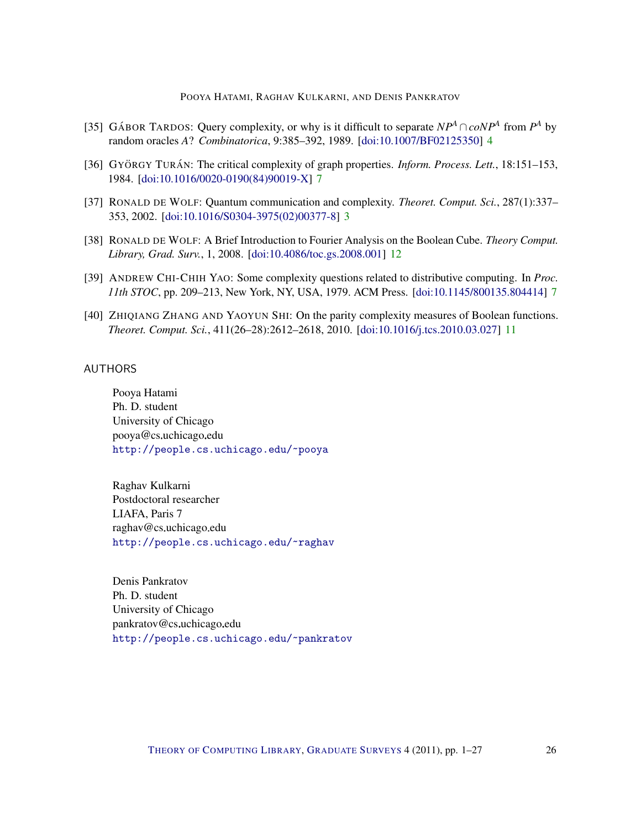- <span id="page-25-4"></span>[35] GÁBOR TARDOS: Query complexity, or why is it difficult to separate  $NP^A \cap coNP^A$  from  $P^A$  by random oracles *A*? *Combinatorica*, 9:385–392, 1989. [\[doi:10.1007/BF02125350\]](http://dx.doi.org/10.1007/BF02125350) [4](#page-3-3)
- <span id="page-25-5"></span>[36] GYÖRGY TURÁN: The critical complexity of graph properties. *Inform. Process. Lett.*, 18:151–153, 1984. [\[doi:10.1016/0020-0190\(84\)90019-X\]](http://dx.doi.org/10.1016/0020-0190(84)90019-X) [7](#page-6-2)
- <span id="page-25-3"></span>[37] RONALD DE WOLF: Quantum communication and complexity. *Theoret. Comput. Sci.*, 287(1):337– 353, 2002. [\[doi:10.1016/S0304-3975\(02\)00377-8\]](http://dx.doi.org/10.1016/S0304-3975(02)00377-8) [3](#page-2-2)
- <span id="page-25-8"></span>[38] RONALD DE WOLF: A Brief Introduction to Fourier Analysis on the Boolean Cube. *Theory Comput. Library, Grad. Surv.*, 1, 2008. [\[doi:10.4086/toc.gs.2008.001\]](http://dx.doi.org/10.4086/toc.gs.2008.001) [12](#page-11-4)
- <span id="page-25-6"></span>[39] ANDREW CHI-CHIH YAO: Some complexity questions related to distributive computing. In *Proc. 11th STOC*, pp. 209–213, New York, NY, USA, 1979. ACM Press. [\[doi:10.1145/800135.804414\]](http://dx.doi.org/10.1145/800135.804414) [7](#page-6-2)
- <span id="page-25-7"></span>[40] ZHIQIANG ZHANG AND YAOYUN SHI: On the parity complexity measures of Boolean functions. *Theoret. Comput. Sci.*, 411(26–28):2612–2618, 2010. [\[doi:10.1016/j.tcs.2010.03.027\]](http://dx.doi.org/10.1016/j.tcs.2010.03.027) [11](#page-10-4)

## <span id="page-25-0"></span>AUTHORS

Pooya Hatami Ph. D. student University of Chicago pooya@cs.uchicago.edu <http://people.cs.uchicago.edu/~pooya>

<span id="page-25-1"></span>Raghav Kulkarni Postdoctoral researcher LIAFA, Paris 7 raghav@cs.uchicago.edu <http://people.cs.uchicago.edu/~raghav>

<span id="page-25-2"></span>Denis Pankratov Ph. D. student University of Chicago pankratov@cs.uchicago.edu <http://people.cs.uchicago.edu/~pankratov>